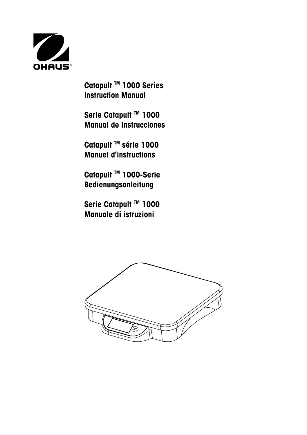

**Catapult TM 1000 Series Instruction Manual** 

 **Serie Catapult TM 1000 Manual de instrucciones**

 **Catapult TM série 1000 Manuel d'instructions**

 **Catapult TM 1000-Serie Bedienungsanleitung** 

 **Serie Catapult TM 1000 Manuale di istruzioni** 

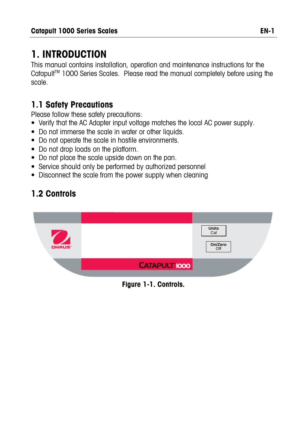# **1. INTRODUCTION**

This manual contains installation, operation and maintenance instructions for the Catapult<sup>™</sup> 1000 Series Scales. Please read the manual completely before using the scale.

# **1.1 Safety Precautions**

Please follow these safety precautions:

- Verify that the AC Adapter input voltage matches the local AC power supply.
- Do not immerse the scale in water or other liquids.
- Do not operate the scale in hostile environments.
- Do not drop loads on the platform.
- Do not place the scale upside down on the pan.
- Service should only be performed by authorized personnel
- Disconnect the scale from the power supply when cleaning

# **1.2 Controls**



**Figure 1-1. Controls.**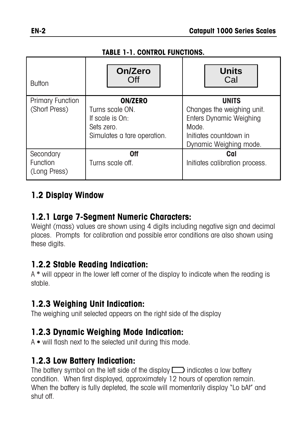#### **TABLE 1-1. CONTROL FUNCTIONS.**

| <b>Button</b>                            | On/Zero<br>Off                                                                                    | <b>Units</b><br>Cal                                                                                                                       |  |
|------------------------------------------|---------------------------------------------------------------------------------------------------|-------------------------------------------------------------------------------------------------------------------------------------------|--|
| <b>Primary Function</b><br>(Short Press) | <b>ON/ZERO</b><br>Turns scale ON.<br>If scale is On:<br>Sets zero.<br>Simulates a tare operation. | <b>UNITS</b><br>Changes the weighing unit.<br><b>Enters Dynamic Weighing</b><br>Mode.<br>Initiates countdown in<br>Dynamic Weighing mode. |  |
| Secondary<br>Function<br>(Long Press)    | 0ff<br>Turns scale off.                                                                           | Cal<br>Initiates calibration process.                                                                                                     |  |

#### **1.2 Display Window**

#### **1.2.1 Large 7-Segment Numeric Characters:**

Weight (mass) values are shown using 4 digits including negative sign and decimal places. Prompts for calibration and possible error conditions are also shown using these digits.

### **1.2.2 Stable Reading Indication:**

A **\*** will appear in the lower left corner of the display to indicate when the reading is stable.

# **1.2.3 Weighing Unit Indication:**

The weighing unit selected appears on the right side of the display

### **1.2.3 Dynamic Weighing Mode Indication:**

A **•** will flash next to the selected unit during this mode.

### **1.2.3 Low Battery Indication:**

The battery symbol on the left side of the display  $\Box$  indicates a low battery condition. When first displayed, approximately 12 hours of operation remain. When the battery is fully depleted, the scale will momentarily display "Lo bAt" and shut off.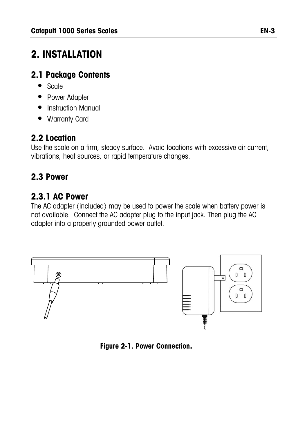# **2. INSTALLATION**

# **2.1 Package Contents**

- Scale
- Power Adapter
- Instruction Manual
- Warranty Card

# **2.2 Location**

Use the scale on a firm, steady surface. Avoid locations with excessive air current, vibrations, heat sources, or rapid temperature changes.

# **2.3 Power**

# **2.3.1 AC Power**

The AC adapter (included) may be used to power the scale when battery power is not available. Connect the AC adapter plug to the input jack. Then plug the AC adapter into a properly grounded power outlet.



**Figure 2-1. Power Connection.**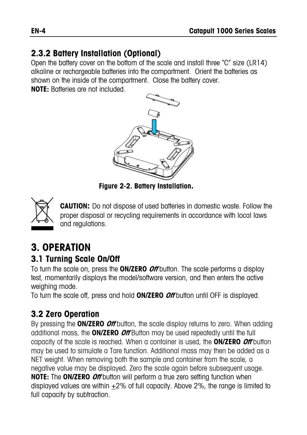# **2.3.2 Battery Installation (Optional)**

Open the battery cover on the bottom of the scale and install three "C" size (LR14) alkaline or rechargeable batteries into the compartment. Orient the batteries as shown on the inside of the compartment. Close the battery cover.

**NOTE:** Batteries are not included.



**Figure 2-2. Battery Installation.** 



**CAUTION:** Do not dispose of used batteries in domestic waste. Follow the proper disposal or recycling requirements in accordance with local laws and regulations.

# **3. OPERATION 3.1 Turning Scale On/Off**

To turn the scale on, press the **ON/ZERO Off** button. The scale performs a display test, momentarily displays the model/software version, and then enters the active weighing mode.

To turn the scale off, press and hold **ON/ZERO Off** button until OFF is displayed.

# **3.2 Zero Operation**

By pressing the **ON/ZERO Off** button, the scale display returns to zero. When adding additional mass, the **ON/ZERO Off** Button may be used repeatedly until the full capacity of the scale is reached. When a container is used, the **ON/ZERO Off** button may be used to simulate a Tare function. Additional mass may then be added as a NET weight. When removing both the sample and container from the scale, a negative value may be displayed. Zero the scale again before subsequent usage. **NOTE:** The **ON/ZERO Off** button will perform a true zero setting function when displayed values are within +2% of full capacity. Above 2%, the range is limited to full capacity by subtraction.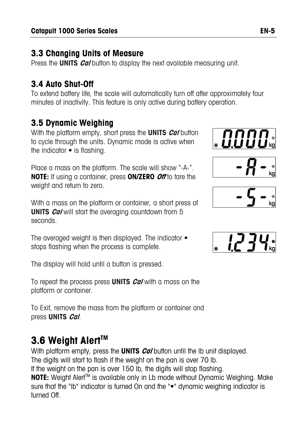# **3.3 Changing Units of Measure**

Press the **UNITS** *Cal* button to display the next available measuring unit.

# **3.4 Auto Shut-Off**

To extend battery life, the scale will automatically turn off after approximately four minutes of inactivity. This feature is only active during battery operation.

# **3.5 Dynamic Weighing**

With the platform empty, short press the **UNITS Cal** button to cycle through the units. Dynamic mode is active when the indicator • is flashing.

Place a mass on the platform. The scale will show "-A-". **NOTE:** If using a container, press **ON/ZERO Off** to tare the weight and return to zero.

With a mass on the platform or container, a short press of **UNITS** *Cal* will start the averaging countdown from 5 seconds.

The averaged weight is then displayed. The indicator  $\bullet$ stops flashing when the process is complete.

The display will hold until a button is pressed.

To repeat the process press **UNITS Cal** with a mass on the platform or container.

To Exit, remove the mass from the platform or container and press **UNITS Cal**.

# **3.6 Weight AlertTM**

With platform empty, press the **UNITS** *Cal* button until the lb unit displayed. The digits will start to flash if the weight on the pan is over 70 lb. If the weight on the pan is over 150 lb, the digits will stop flashing. **NOTE:** Weight Alert<sup>™</sup> is available only in Lb mode without Dynamic Weighing. Make sure that the "lb" indicator is turned On and the "•" dynamic weighing indicator is turned Off.





$$
\boxed{\phantom{0} -\zeta \phantom{0} \phantom{0}}_{\kappa_9}
$$

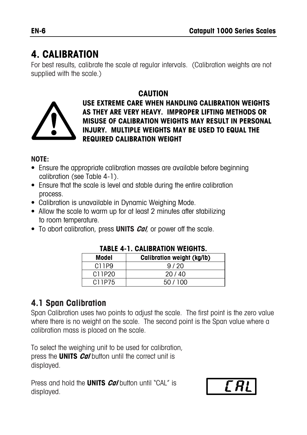# **4. CALIBRATION**

For best results, calibrate the scale at regular intervals. (Calibration weights are not supplied with the scale.)

#### **CAUTION**



**USE EXTREME CARE WHEN HANDLING CALIBRATION WEIGHTS AS THEY ARE VERY HEAVY. IMPROPER LIFTING METHODS OR MISUSE OF CALIBRATION WEIGHTS MAY RESULT IN PERSONAL INJURY. MULTIPLE WEIGHTS MAY BE USED TO EQUAL THE REQUIRED CALIBRATION WEIGHT** 

#### **NOTE:**

- Ensure the appropriate calibration masses are available before beginning calibration (see Table 4-1).
- Ensure that the scale is level and stable during the entire calibration process.
- Calibration is unavailable in Dynamic Weighing Mode.
- Allow the scale to warm up for at least 2 minutes after stabilizing to room temperature.
- To abort calibration, press **UNITS Cal**, or power off the scale.

| IADLL THE VALIDRATIVIT WEIVILLY. |                                   |  |
|----------------------------------|-----------------------------------|--|
| Model                            | <b>Calibration weight (kg/lb)</b> |  |
| C <sub>1</sub> 1P <sub>9</sub>   | 9/20                              |  |
| C11P20                           | 20/40                             |  |
| C11P75                           | 50/100                            |  |

#### **TABLE 4-1. CALIBRATION WEIGHTS.**

### **4.1 Span Calibration**

Span Calibration uses two points to adjust the scale. The first point is the zero value where there is no weight on the scale. The second point is the Span value where a calibration mass is placed on the scale.

To select the weighing unit to be used for calibration, press the **UNITS Cal** button until the correct unit is displayed.

Press and hold the **UNITS Cal** button until "CAL" is displayed.

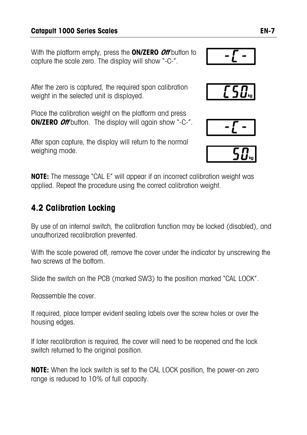#### **Catapult 1000 Series Scales EN-7**

With the platform empty, press the **ON/ZERO Off** button to capture the scale zero. The display will show "-C-".

After the zero is captured, the required span calibration weight in the selected unit is displayed.

Place the calibration weight on the platform and press **ON/ZERO** *Off* button. The display will again show "-C-".

After span capture, the display will return to the normal weighing mode.

**NOTE:** The message "CAL E" will appear if an incorrect calibration weight was applied. Repeat the procedure using the correct calibration weight.

# **4.2 Calibration Locking**

By use of an internal switch, the calibration function may be locked (disabled), and unauthorized recalibration prevented.

With the scale powered off, remove the cover under the indicator by unscrewing the two screws at the bottom.

Slide the switch on the PCB (marked SW3) to the position marked "CAL LOCK".

Reassemble the cover

If required, place tamper evident sealing labels over the screw holes or over the housing edges.

If later recalibration is required, the cover will need to be reopened and the lock switch returned to the original position.

**NOTE:** When the lock switch is set to the CAL LOCK position, the power-on zero range is reduced to 10% of full capacity.





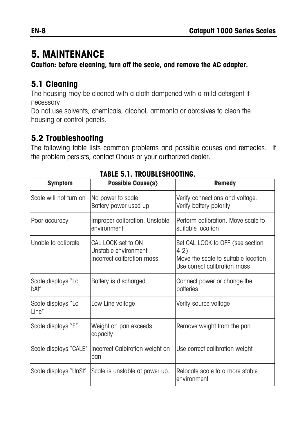# **5. MAINTENANCE**

**Caution: before cleaning, turn off the scale, and remove the AC adapter.** 

## **5.1 Cleaning**

The housing may be cleaned with a cloth dampened with a mild detergent if necessary.

Do not use solvents, chemicals, alcohol, ammonia or abrasives to clean the housing or control panels.

## **5.2 Troubleshooting**

The following table lists common problems and possible causes and remedies. If the problem persists, contact Ohaus or your authorized dealer.

| <b>Symptom</b>              | <b>Possible Cause(s)</b>                                                 | <b>Remedy</b>                                                                                                   |  |
|-----------------------------|--------------------------------------------------------------------------|-----------------------------------------------------------------------------------------------------------------|--|
| Scale will not turn on      | No power to scale<br>Battery power used up                               | Verify connections and voltage.<br>Verify battery polarity                                                      |  |
| Poor accuracy               | Improper calibration. Unstable<br>environment                            | Perform calibration. Move scale to<br>suitable location                                                         |  |
| Unable to calibrate         | CAL LOCK set to ON<br>Unstable environment<br>Incorrect calibration mass | Set CAL LOCK to OFF (see section<br>4.2)<br>Move the scale to suitable location<br>Use correct calibration mass |  |
| Scale displays "Lo<br>bAt″  | Battery is discharged                                                    | Connect power or change the<br>batteries                                                                        |  |
| Scale displays "Lo<br>Line" | Low Line voltage                                                         | Verify source voltage                                                                                           |  |
| Scale displays "E"          | Weight on pan exceeds<br>capacity                                        | Remove weight from the pan                                                                                      |  |
| Scale displays "CALE"       | Incorrect Calbiration weight on<br>pan                                   | Use correct calibration weight                                                                                  |  |
| Scale displays "UnSt"       | Scale is unstable at power up.                                           | Relocate scale to a more stable<br>environment                                                                  |  |

#### **TABLE 5.1. TROUBLESHOOTING.**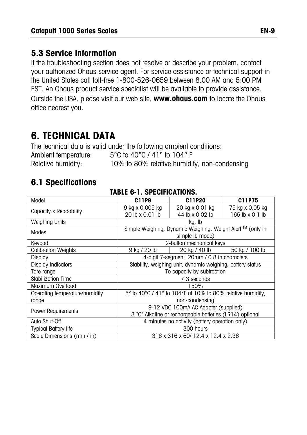#### **5.3 Service Information**

If the troubleshooting section does not resolve or describe your problem, contact your authorized Ohaus service agent. For service assistance or technical support in the United States call toll-free 1-800-526-0659 between 8.00 AM and 5:00 PM EST. An Ohaus product service specialist will be available to provide assistance. Outside the USA, please visit our web site, **www.ohaus.com** to locate the Ohaus office nearest you.

# **6. TECHNICAL DATA**

The technical data is valid under the following ambient conditions: Ambient temperature: 5°C to 40°C / 41° to 104° F Relative humidity: 10% to 80% relative humidity, non-condensing

# **6.1 Specifications**

| Model                                                                            | C11P9                                                    | C11P20                                                     | C11P75          |  |
|----------------------------------------------------------------------------------|----------------------------------------------------------|------------------------------------------------------------|-----------------|--|
|                                                                                  | 9 kg x 0.005 kg                                          | 20 kg x 0.01 kg                                            | 75 kg x 0.05 kg |  |
| Capacity x Readability                                                           | 20 lb x 0.01 lb                                          | 44 lb x 0.02 lb                                            | 165 lb x 0.1 lb |  |
| <b>Weighing Units</b>                                                            |                                                          | kg, Ib                                                     |                 |  |
| Modes                                                                            |                                                          | Simple Weighing, Dynamic Weighing, Weight Alert ™ (only in |                 |  |
|                                                                                  | simple lb mode)                                          |                                                            |                 |  |
| Keypad                                                                           |                                                          | 2-button mechanical keys                                   |                 |  |
| <b>Calibration Weights</b>                                                       | 9 kg / 20 lb                                             | 20 kg / 40 lb                                              | 50 kg / 100 lb  |  |
| Display                                                                          | 4-digit 7-segment, 20mm / 0.8 in characters              |                                                            |                 |  |
| Stability, weighing unit, dynamic weighing, battery status<br>Display Indicators |                                                          |                                                            |                 |  |
| Tare range                                                                       | To capacity by subtraction                               |                                                            |                 |  |
| Stabilization Time                                                               |                                                          | $\leq$ 3 seconds                                           |                 |  |
| Maximum Overload                                                                 | 150%                                                     |                                                            |                 |  |
| Operating temperature/humidity                                                   |                                                          | 5° to 40°C / 41° to 104°F at 10% to 80% relative humidity, |                 |  |
| range                                                                            |                                                          | non-condensing                                             |                 |  |
| Power Requirements                                                               |                                                          | 9-12 VDC 100mA AC Adapter (supplied)                       |                 |  |
|                                                                                  | 3 "C" Alkaline or rechargeable batteries (LR14) optional |                                                            |                 |  |
| Auto Shut-Off                                                                    |                                                          | 4 minutes no activity (battery operation only)             |                 |  |
| <b>Typical Battery life</b>                                                      |                                                          | 300 hours                                                  |                 |  |
| Scale Dimensions (mm / in)                                                       |                                                          | 316 x 316 x 60/ 12.4 x 12.4 x 2.36                         |                 |  |

#### **TABLE 6-1. SPECIFICATIONS.**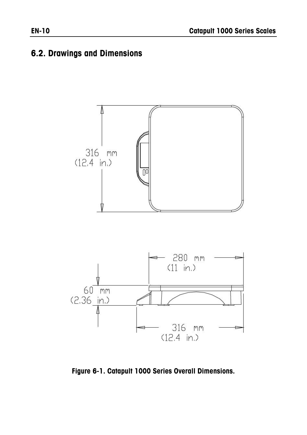### **6.2. Drawings and Dimensions**



**Figure 6-1. Catapult 1000 Series Overall Dimensions.**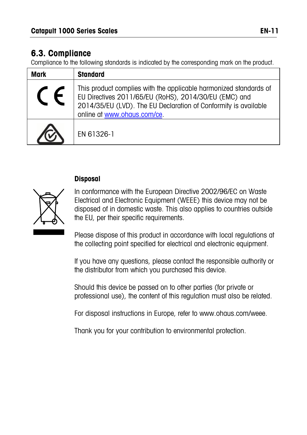### **6.3. Compliance**

Compliance to the following standards is indicated by the corresponding mark on the product.

| <b>Mark</b> | <b>Standard</b>                                                                                                                                                                                                              |
|-------------|------------------------------------------------------------------------------------------------------------------------------------------------------------------------------------------------------------------------------|
|             | This product complies with the applicable harmonized standards of<br>EU Directives 2011/65/EU (RoHS), 2014/30/EU (EMC) and<br>2014/35/EU (LVD). The EU Declaration of Conformity is available<br>online at www.ohaus.com/ce. |
|             | FN 61326-1                                                                                                                                                                                                                   |

#### **Disposal**

In conformance with the European Directive 2002/96/EC on Waste Electrical and Electronic Equipment (WEEE) this device may not be disposed of in domestic waste. This also applies to countries outside the EU, per their specific requirements.

Please dispose of this product in accordance with local regulations at the collecting point specified for electrical and electronic equipment.

If you have any questions, please contact the responsible authority or the distributor from which you purchased this device.

Should this device be passed on to other parties (for private or professional use), the content of this regulation must also be related.

For disposal instructions in Europe, refer to www.ohaus.com/weee.

Thank you for your contribution to environmental protection.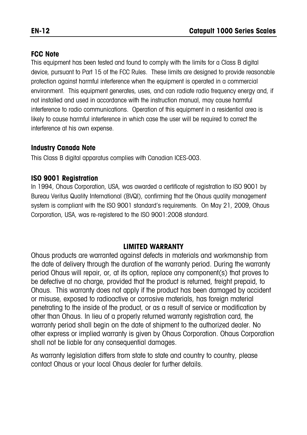#### **FCC Note**

This equipment has been tested and found to comply with the limits for a Class B digital device, pursuant to Part 15 of the FCC Rules. These limits are designed to provide reasonable protection against harmful interference when the equipment is operated in a commercial environment. This equipment generates, uses, and can radiate radio frequency energy and, if not installed and used in accordance with the instruction manual, may cause harmful interference to radio communications. Operation of this equipment in a residential area is likely to cause harmful interference in which case the user will be required to correct the interference at his own expense.

#### **Industry Canada Note**

This Class B digital apparatus complies with Canadian ICES-003.

#### **ISO 9001 Registration**

In 1994, Ohaus Corporation, USA, was awarded a certificate of registration to ISO 9001 by Bureau Veritus Quality International (BVQI), confirming that the Ohaus quality management system is compliant with the ISO 9001 standard's requirements. On May 21, 2009, Ohaus Corporation, USA, was re-registered to the ISO 9001:2008 standard.

#### **LIMITED WARRANTY**

Ohaus products are warranted against defects in materials and workmanship from the date of delivery through the duration of the warranty period. During the warranty period Ohaus will repair, or, at its option, replace any component(s) that proves to be defective at no charge, provided that the product is returned, freight prepaid, to Ohaus. This warranty does not apply if the product has been damaged by accident or misuse, exposed to radioactive or corrosive materials, has foreign material penetrating to the inside of the product, or as a result of service or modification by other than Ohaus. In lieu of a properly returned warranty registration card, the warranty period shall begin on the date of shipment to the authorized dealer. No other express or implied warranty is given by Ohaus Corporation. Ohaus Corporation shall not be liable for any consequential damages.

As warranty legislation differs from state to state and country to country, please contact Ohaus or your local Ohaus dealer for further details.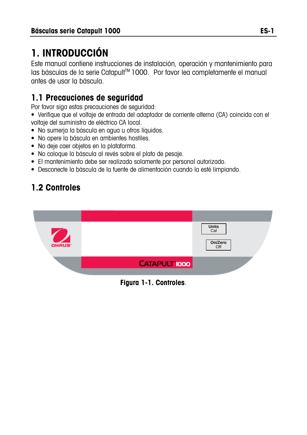# **1. INTRODUCCIÓN**

Este manual contiene instrucciones de instalación, operación y mantenimiento para las básculas de la serie Catapult™ 1000. Por favor lea completamente el manual antes de usar la báscula.

# **1.1 Precauciones de seguridad**

Por favor siga estas precauciones de seguridad:

• Verifique que el voltaje de entrada del adaptador de corriente alterna (CA) coincida con el voltaje del suministro de eléctrico CA local.

- No sumerja la báscula en agua u otros líquidos.
- No opere la báscula en ambientes hostiles.
- No deje caer objetos en la plataforma.
- No coloque la báscula al revés sobre el plato de pesaje.
- El mantenimiento debe ser realizado solamente por personal autorizado.
- Desconecte la báscula de la fuente de alimentación cuando la esté limpiando.

# **1.2 Controles**



**Figura 1-1. Controles**.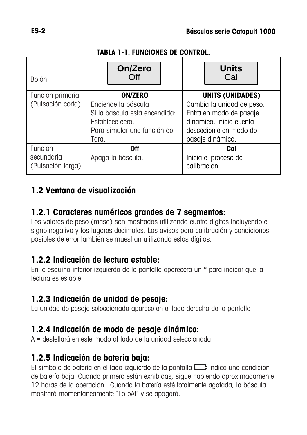#### **TABLA 1-1. FUNCIONES DE CONTROL.**

| <b>Botón</b>                               | On/Zero<br>Off                                                                                                                     | <b>Units</b><br>Cal                                                                                                                                      |  |
|--------------------------------------------|------------------------------------------------------------------------------------------------------------------------------------|----------------------------------------------------------------------------------------------------------------------------------------------------------|--|
| Función primaria<br>(Pulsación corta)      | <b>ON/ZERO</b><br>Enciende la báscula.<br>Si la báscula está encendida:<br>Establece cero.<br>Para simular una función de<br>Tara. | <b>UNITS (UNIDADES)</b><br>Cambia la unidad de peso.<br>Entra en modo de pasaje<br>dinámico. Inicia cuenta<br>descediente en modo de<br>pasaje dinámico. |  |
| Función<br>secundaria<br>(Pulsación larga) | 0ff<br>Apaga la báscula.                                                                                                           | Cal<br>Inicia el proceso de<br>calibracion.                                                                                                              |  |

### **1.2 Ventana de visualización**

#### **1.2.1 Caracteres numéricos grandes de 7 segmentos:**

Los valores de peso (masa) son mostrados utilizando cuatro dígitos incluyendo el signo negativo y los lugares decimales. Los avisos para calibración y condiciones posibles de error también se muestran utilizando estos dígitos.

#### **1.2.2 Indicación de lectura estable:**

En la esquina inferior izquierda de la pantalla aparecerá un \* para indicar que la lectura es estable.

#### **1.2.3 Indicación de unidad de pesaje:**

La unidad de pesaje seleccionada aparece en el lado derecho de la pantalla

#### **1.2.4 Indicación de modo de pesaje dinámico:**

A **•** destellará en este modo al lado de la unidad seleccionada.

#### **1.2.5 Indicación de batería baja:**

El símbolo de batería en el lado izquierdo de la pantalla  $\Box$  indica una condición de batería baja. Cuando primero están exhibidas, sigue habiendo aproximadamente 12 horas de la operación. Cuando la batería esté totalmente agotada, la báscula mostrará momentáneamente "Lo bAt" y se apagará.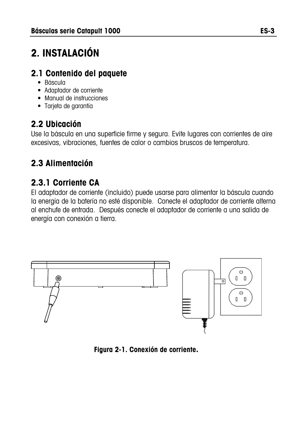# **2. INSTALACIÓN**

# **2.1 Contenido del paquete**

- Báscula
- Adaptador de corriente
- Manual de instrucciones
- Tarjeta de garantía

# **2.2 Ubicación**

Use la báscula en una superficie firme y segura. Evite lugares con corrientes de aire excesivas, vibraciones, fuentes de calor o cambios bruscos de temperatura.

# **2.3 Alimentación**

# **2.3.1 Corriente CA**

El adaptador de corriente (incluido) puede usarse para alimentar la báscula cuando la energía de la batería no esté disponible. Conecte el adaptador de corriente alterna al enchufe de entrada. Después conecte el adaptador de corriente a una salida de energía con conexión a tierra.



**Figura 2-1. Conexión de corriente.**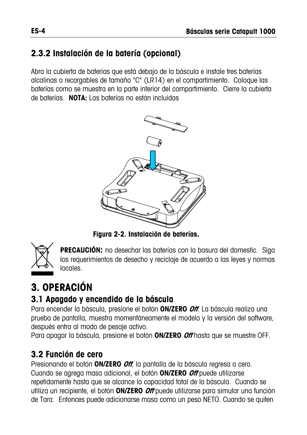# **2.3.2 Instalación de la batería (opcional)**

Abra la cubierta de baterías que está debajo de la báscula e instale tres baterías alcalinas o recargables de tamaño "C" (LR14) en el compartimiento. Coloque las baterías como se muestra en la parte interior del compartimiento. Cierre la cubierta de baterías. **NOTA:** Las baterías no están incluidas



**Figura 2-2. Instalación de baterías.** 



**PRECAUCIÓN:** no desechar las baterías con la basura del domestic. Siga los requerimientos de desecho y reciclaje de acuerdo a las leyes y normas locales.

# **3. OPERACIÓN**

# **3.1 Apagado y encendido de la báscula**

Para encender la báscula, presione el botón **ON/ZERO Off**. La báscula realiza una prueba de pantalla, muestra momentáneamente el modelo y la versión del software, después entra al modo de pesaje activo.

Para apagar la báscula, presione el botón **ON/ZERO Off** hasta que se muestre OFF.

# **3.2 Función de cero**

Presionando el botón **ON/ZERO Off**, la pantalla de la báscula regresa a cero. Cuando se agrega masa adicional, el botón **ON/ZERO Off** puede utilizarse repetidamente hasta que se alcance la capacidad total de la báscula. Cuando se utiliza un recipiente, el botón **ON/ZERO Off** puede utilizarse para simular una función de Tara. Entonces puede adicionarse masa como un peso NETO. Cuando se quiten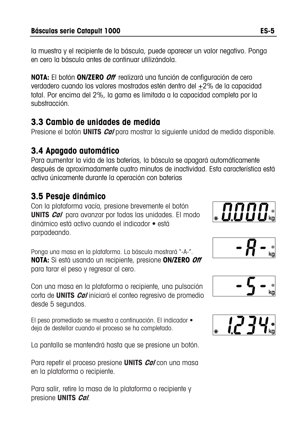la muestra y el recipiente de la báscula, puede aparecer un valor negativo. Ponga en cero la báscula antes de continuar utilizándola.

**NOTA:** El botón **ON/ZERO Off** realizará una función de configuración de cero verdadero cuando los valores mostrados estén dentro del +2% de la capacidad total. Por encima del 2%, la gama es limitada a la capacidad completa por la substracción.

#### **3.3 Cambio de unidades de medida**

Presione el botón **UNITS Cal** para mostrar la siguiente unidad de medida disponible.

#### **3.4 Apagado automático**

Para aumentar la vida de las baterías, la báscula se apagará automáticamente después de aproximadamente cuatro minutos de inactividad. Esta característica está activa únicamente durante la operación con baterías

## **3.5 Pesaje dinámico**

Con la plataforma vacía, presione brevemente el botón **UNITS Cal** para avanzar por todas las unidades. El modo dinámico está activo cuando el indicador • está parpadeando.

Ponga una masa en la plataforma. La báscula mostrará "-A-". **NOTA:** Si está usando un recipiente, presione **ON/ZERO Off** para tarar el peso y regresar al cero.

Con una masa en la plataforma o recipiente, una pulsación corta de **UNITS Cal** iniciará el conteo regresivo de promedio desde 5 segundos.

El peso promediado se muestra a continuación. El indicador • deja de destellar cuando el proceso se ha completado.

La pantalla se mantendrá hasta que se presione un botón.

Para repetir el proceso presione **UNITS Cal** con una masa en la plataforma o recipiente.

Para salir, retire la masa de la plataforma o recipiente y presione **UNITS Cal**.







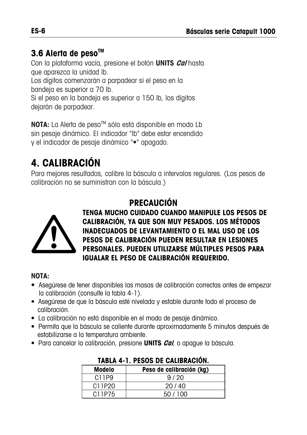# **3.6 Alerta de pesoTM**

Con la plataforma vacía, presione el botón **UNITS Cal** hasta que aparezca la unidad lb.

Los dígitos comenzarán a parpadear si el peso en la bandeja es superior a 70 lb.

Si el peso en la bandeja es superior a 150 lb, los dígitos dejarán de parpadear.

**NOTA:** La Alerta de peso<sup>™</sup> sólo está disponible en modo Lb sin pesaje dinámico. El indicador "lb" debe estar encendido y el indicador de pesaje dinámico "•" apagado.

# **4. CALIBRACIÓN**

Para mejores resultados, calibre la báscula a intervalos regulares. (Los pesos de calibración no se suministran con la báscula.)



# **PRECAUCIÓN**

**TENGA MUCHO CUIDADO CUANDO MANIPULE LOS PESOS DE CALIBRACIÓN, YA QUE SON MUY PESADOS. LOS MÉTODOS INADECUADOS DE LEVANTAMIENTO O EL MAL USO DE LOS PESOS DE CALIBRACIÓN PUEDEN RESULTAR EN LESIONES PERSONALES. PUEDEN UTILIZARSE MÚLTIPLES PESOS PARA IGUALAR EL PESO DE CALIBRACIÓN REQUERIDO.** 

#### **NOTA:**

- Asegúrese de tener disponibles las masas de calibración correctas antes de empezar la calibración (consulte la tabla 4-1).
- Asegúrese de que la báscula esté nivelada y estable durante todo el proceso de calibración.
- La calibración no está disponible en el modo de pesaje dinámico.
- Permita que la báscula se caliente durante aproximadamente 5 minutos después de estabilizarse a la temperatura ambiente.
- Para cancelar la calibración, presione **UNITS Cal**, o apague la báscula.

| IAPEA T III EVVV PE VAEIPIVAVIVIII |                          |  |
|------------------------------------|--------------------------|--|
| Modelo                             | Peso de calibración (kg) |  |
| C11P9                              | 9/20                     |  |
| C11P20                             | 20/40                    |  |
| C11P75                             | 50/100                   |  |

#### **TABLA 4-1. PESOS DE CALIBRACIÓN.**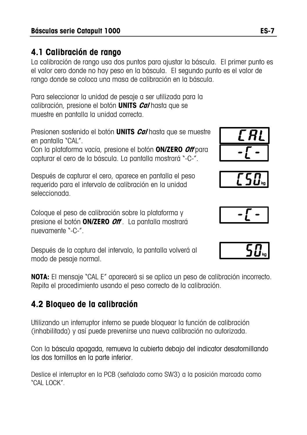#### **4.1 Calibración de rango**

La calibración de rango usa dos puntos para ajustar la báscula. El primer punto es el valor cero donde no hay peso en la báscula. El segundo punto es el valor de rango donde se coloca una masa de calibración en la báscula.

Para seleccionar la unidad de pesaje a ser utilizada para la calibración, presione el botón **UNITS Cal** hasta que se muestre en pantalla la unidad correcta.

Presionen sostenido el botón **UNITS Cal** hasta que se muestre en pantalla "CAL".

Con la plataforma vacía, presione el botón **ON/ZERO Off** para capturar el cero de la báscula. La pantalla mostrará "-C-".

Después de capturar el cero, aparece en pantalla el peso requerido para el intervalo de calibración en la unidad seleccionada.

Coloque el peso de calibración sobre la plataforma y presione el botón **ON/ZERO Off** . La pantalla mostrará nuevamente "-C-".

Después de la captura del intervalo, la pantalla volverá al modo de pesaje normal.

**NOTA:** El mensaje "CAL E" aparecerá si se aplica un peso de calibración incorrecto. Repita el procedimiento usando el peso correcto de la calibración.

# **4.2 Bloqueo de la calibración**

Utilizando un interruptor interno se puede bloquear la función de calibración (inhabilitada) y así puede prevenirse una nueva calibración no autorizada.

Con la báscula apagada, remueva la cubierta debajo del indicator desatornillando los dos tornillos en la parte inferior.

Deslice el interruptor en la PCB (señalado como SW3) a la posición marcada como "CAL LOCK".







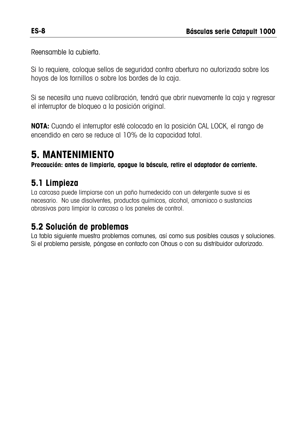Reensamble la cubierta.

Si lo requiere, coloque sellos de seguridad contra abertura no autorizada sobre los hoyos de los tornillos o sobre los bordes de la caja.

Si se necesita una nueva calibración, tendrá que abrir nuevamente la caja y regresar el interruptor de bloqueo a la posición original.

**NOTA:** Cuando el interruptor esté colocado en la posición CAL LOCK, el rango de encendido en cero se reduce al 10% de la capacidad total.

# **5. MANTENIMIENTO**

**Precaución: antes de limpiarla, apague la báscula, retire el adaptador de corriente.**

### **5.1 Limpieza**

La carcasa puede limpiarse con un paño humedecido con un detergente suave si es necesario. No use disolventes, productos químicos, alcohol, amoniaco o sustancias abrasivas para limpiar la carcasa o los paneles de control.

### **5.2 Solución de problemas**

La tabla siguiente muestra problemas comunes, así como sus posibles causas y soluciones. Si el problema persiste, póngase en contacto con Ohaus o con su distribuidor autorizado.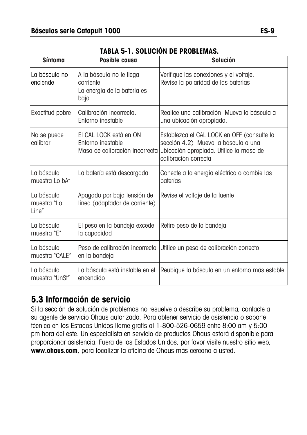| <b>Síntoma</b>                     | Posible causa                                                                | <b>Solución</b>                                                                                                                                                                     |
|------------------------------------|------------------------------------------------------------------------------|-------------------------------------------------------------------------------------------------------------------------------------------------------------------------------------|
| La báscula no<br>enciende          | A la báscula no le llega<br>corriente<br>La energía de la batería es<br>baja | Verifique las conexiones y el voltaje.<br>Revise la polaridad de las baterías                                                                                                       |
| Exactitud pobre                    | Calibración incorrecta.<br>Entorno inestable                                 | Realice una calibración. Mueva la báscula a<br>una ubicación apropiada.                                                                                                             |
| No se puede<br>calibrar            | EI CAL LOCK está en ON<br>Entorno inestable                                  | Establezca el CAL LOCK en OFF (consulte la<br>sección 4.2) Mueva la báscula a una<br>Masa de calibración incorrecta ubicación apropiada. Utilice la masa de<br>calibración correcta |
| La báscula<br>muestra Lo bAt       | La batería está descargada                                                   | Conecte a la energía eléctrica o cambie las<br>baterías                                                                                                                             |
| La báscula<br>muestra "Lo<br>Line" | Apagado por baja tensión de<br>línea (adaptador de corriente)                | Revise el voltaje de la fuente                                                                                                                                                      |
| La báscula<br>muestra "E"          | El peso en la bandeja excede<br>la capacidad                                 | Retire peso de la bandeja                                                                                                                                                           |
| La báscula<br>muestra "CALE"       | Peso de calibración incorrecto<br>en la bandeja                              | Utilice un peso de calibración correcto                                                                                                                                             |
| La báscula<br>muestra "UnSt"       | La báscula está instable en el<br>encendido                                  | Reubique la báscula en un entorno más estable                                                                                                                                       |

#### **TABLA 5-1. SOLUCIÓN DE PROBLEMAS.**

## **5.3 Información de servicio**

Si la sección de solución de problemas no resuelve o describe su problema, contacte a su agente de servicio Ohaus autorizado. Para obtener servicio de asistencia o soporte técnico en los Estados Unidos llame gratis al 1-800-526-0659 entre 8:00 am y 5:00 pm hora del este. Un especialista en servicio de productos Ohaus estará disponible para proporcionar asistencia. Fuera de los Estados Unidos, por favor visite nuestro sitio web, **www.ohaus.com**, para localizar la oficina de Ohaus más cercana a usted.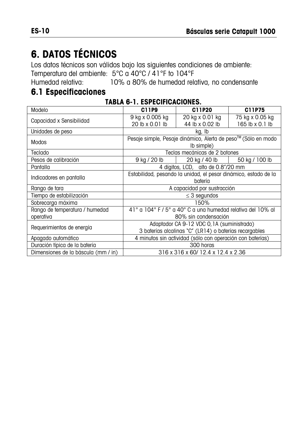# **6. DATOS TÉCNICOS**

Los datos técnicos son válidos bajo las siguientes condiciones de ambiente: Temperatura del ambiente: 5°C a 40°C / 41°F to 104°F<br>Humedad relativa: 10% a 80% de humedad rela

10% a 80% de humedad relativa, no condensante

### **6.1 Especificaciones**

|  |  | <b>TABLA 6-1. ESPECIFICACIONES.</b> |  |
|--|--|-------------------------------------|--|
|  |  |                                     |  |

| Modelo                              | C11P9                                                           | C11P20                                                    | C11P75          |  |  |
|-------------------------------------|-----------------------------------------------------------------|-----------------------------------------------------------|-----------------|--|--|
|                                     | 9 kg x 0.005 kg                                                 | 20 kg x 0.01 kg                                           | 75 kg x 0.05 kg |  |  |
| Capacidad x Sensibilidad            | 20 lb x 0.01 lb                                                 | 44 lb x 0.02 lb                                           | 165 lb x 0.1 lb |  |  |
| Unidades de peso                    |                                                                 | kg, Ib                                                    |                 |  |  |
| Modos                               | Pesaje simple, Pesaje dinámico, Alerta de peso™ (Sólo en modo   |                                                           |                 |  |  |
|                                     | (lb simple)                                                     |                                                           |                 |  |  |
| Teclado                             |                                                                 | Teclas mecánicas de 2 botones                             |                 |  |  |
| Pesos de calibración                | 9 kg / 20 lb                                                    | 20 kg / 40 lb                                             | 50 kg / 100 lb  |  |  |
| Pantalla                            |                                                                 | 4 dígitos, LCD, alto de 0.8"/20 mm                        |                 |  |  |
| Indicadores en pantalla             | Estabilidad, pesando la unidad, el pesar dinámico, estado de la |                                                           |                 |  |  |
|                                     | batería                                                         |                                                           |                 |  |  |
| Rango de tara                       |                                                                 | A capacidad por sustracción                               |                 |  |  |
| Tiempo de estabilización            |                                                                 | $\leq$ 3 segundos                                         |                 |  |  |
| Sobrecarga máxima                   |                                                                 | 150%                                                      |                 |  |  |
| Rango de temperatura / humedad      | 41° a 104° F / 5° a 40° C a una humedad relativa del 10% al     |                                                           |                 |  |  |
| operativa                           | 80% sin condensación                                            |                                                           |                 |  |  |
| Requerimientos de energía           | Adaptador CA 9-12 VDC 0, 1A (suministrado)                      |                                                           |                 |  |  |
|                                     | 3 baterías alcalinas "C" (LR14) o baterías recargables          |                                                           |                 |  |  |
| Apagado automático                  |                                                                 | 4 minutos sin actividad (sólo con operación con baterías) |                 |  |  |
| Duración típica de la batería       | 300 horas                                                       |                                                           |                 |  |  |
| Dimensiones de la báscula (mm / in) |                                                                 | 316 x 316 x 60/12.4 x 12.4 x 2.36                         |                 |  |  |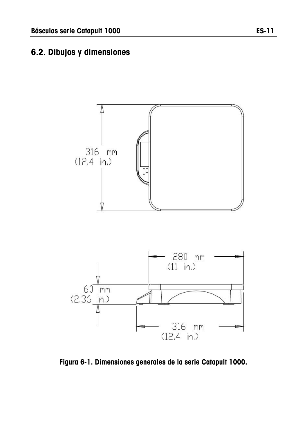### **6.2. Dibujos y dimensiones**



**Figura 6-1. Dimensiones generales de la serie Catapult 1000.**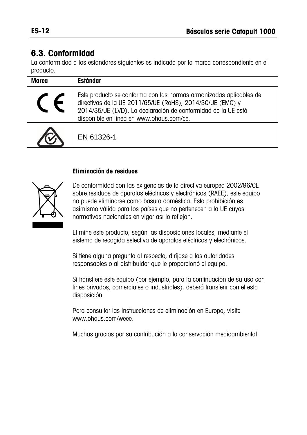# **6.3. Conformidad**

La conformidad a los estándares siguientes es indicada por la marca correspondiente en el producto.

| Marca | <b>Estándar</b>                                                                                                                                                                                                                              |
|-------|----------------------------------------------------------------------------------------------------------------------------------------------------------------------------------------------------------------------------------------------|
|       | Este producto se conforma con las normas armonizadas aplicables de<br>directivas de la UE 2011/65/UE (RoHS), 2014/30/UE (EMC) y<br>2014/35/UE (LVD). La declaración de conformidad de la UE está<br>disponible en línea en www.ohaus.com/ce. |
|       | EN 61326-1                                                                                                                                                                                                                                   |

#### **Eliminación de residuos**



De conformidad con las exigencias de la directiva europea 2002/96/CE sobre residuos de aparatos eléctricos y electrónicos (RAEE), este equipo no puede eliminarse como basura doméstica. Esta prohibición es asimismo válida para los países que no pertenecen a la UE cuyas normativas nacionales en vigor así lo reflejan.

Elimine este producto, según las disposiciones locales, mediante el sistema de recogida selectiva de aparatos eléctricos y electrónicos.

Si tiene alguna pregunta al respecto, diríjase a las autoridades responsables o al distribuidor que le proporcionó el equipo.

Si transfiere este equipo (por ejemplo, para la continuación de su uso con fines privados, comerciales o industriales), deberá transferir con él esta disposición.

Para consultar las instrucciones de eliminación en Europa, visite www.ohaus.com/weee.

Muchas gracias por su contribución a la conservación medioambiental.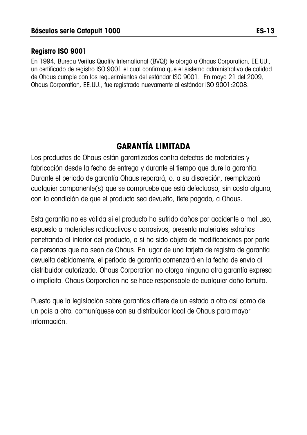#### **Registro ISO 9001**

En 1994, Bureau Veritus Quality International (BVQI) le otorgó a Ohaus Corporation, EE.UU., un certificado de registro ISO 9001 el cual confirma que el sistema administrativo de calidad de Ohaus cumple con los requerimientos del estándar ISO 9001. En mayo 21 del 2009, Ohaus Corporation, EE.UU., fue registrada nuevamente al estándar ISO 9001:2008.

# **GARANTÍA LIMITADA**

Los productos de Ohaus están garantizados contra defectos de materiales y fabricación desde la fecha de entrega y durante el tiempo que dure la garantía. Durante el periodo de garantía Ohaus reparará, o, a su discreción, reemplazará cualquier componente(s) que se compruebe que está defectuoso, sin costo alguno, con la condición de que el producto sea devuelto, flete pagado, a Ohaus.

Esta garantía no es válida si el producto ha sufrido daños por accidente o mal uso, expuesto a materiales radioactivos o corrosivos, presenta materiales extraños penetrando al interior del producto, o si ha sido objeto de modificaciones por parte de personas que no sean de Ohaus. En lugar de una tarjeta de registro de garantía devuelta debidamente, el periodo de garantía comenzará en la fecha de envío al distribuidor autorizado. Ohaus Corporation no otorga ninguna otra garantía expresa o implícita. Ohaus Corporation no se hace responsable de cualquier daño fortuito.

Puesto que la legislación sobre garantías difiere de un estado a otro así como de un país a otro, comuníquese con su distribuidor local de Ohaus para mayor información.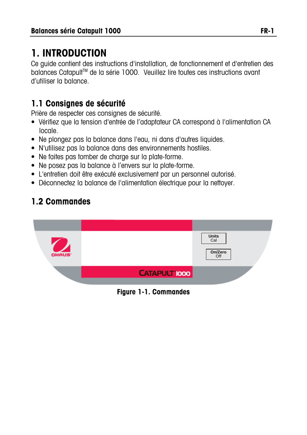# **1. INTRODUCTION**

Ce guide contient des instructions d'installation, de fonctionnement et d'entretien des balances Catapult™ de la série 1000. Veuillez lire toutes ces instructions avant d'utiliser la balance.

# **1.1 Consignes de sécurité**

Prière de respecter ces consignes de sécurité.

- Vérifiez que la tension d'entrée de l'adaptateur CA correspond à l'alimentation CA locale.
- Ne plongez pas la balance dans l'eau, ni dans d'autres liquides.
- N'utilisez pas la balance dans des environnements hostiles.
- Ne faites pas tomber de charge sur la plate-forme.
- Ne posez pas la balance à l'envers sur la plate-forme.
- L'entretien doit être exécuté exclusivement par un personnel autorisé.
- Déconnectez la balance de l'alimentation électrique pour la nettoyer.

# **1.2 Commandes**

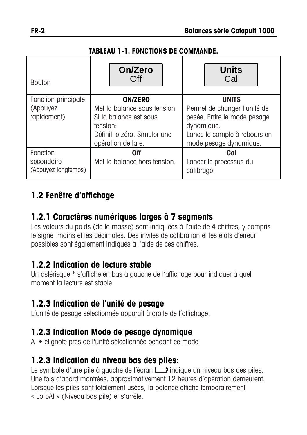#### **TABLEAU 1-1. FONCTIONS DE COMMANDE.**

| <b>Bouton</b>                                  | On/Zero<br>Off                                                                                                                             | <b>Units</b><br>Cal                                                                                                                                 |
|------------------------------------------------|--------------------------------------------------------------------------------------------------------------------------------------------|-----------------------------------------------------------------------------------------------------------------------------------------------------|
| Fonction principale<br>(Appuyez<br>rapidement) | <b>ON/ZERO</b><br>Met la balance sous tension.<br>Si la balance est sous<br>tension:<br>Définit le zéro. Simuler une<br>opération de tare. | <b>UNITS</b><br>Permet de changer l'unité de<br>pesée. Entre le mode pesage<br>dynamique.<br>Lance le compte à rebours en<br>mode pesage dynamique. |
| Fonction<br>secondaire<br>(Appuyez longtemps)  | 0ff<br>Met la balance hors tension.                                                                                                        | Cal<br>Lancer le processus du<br>calibrage.                                                                                                         |

## **1.2 Fenêtre d'affichage**

#### **1.2.1 Caractères numériques larges à 7 segments**

Les valeurs du poids (de la masse) sont indiquées à l'aide de 4 chiffres, y compris le signe moins et les décimales. Des invites de calibration et les états d'erreur possibles sont également indiqués à l'aide de ces chiffres.

#### **1.2.2 Indication de lecture stable**

Un astérisque \* s'affiche en bas à gauche de l'affichage pour indiquer à quel moment la lecture est stable.

### **1.2.3 Indication de l'unité de pesage**

L'unité de pesage sélectionnée apparaît à droite de l'affichage.

### **1.2.3 Indication Mode de pesage dynamique**

A **•** clignote près de l'unité sélectionnée pendant ce mode

#### **1.2.3 Indication du niveau bas des piles:**

Le symbole d'une pile à gauche de l'écran indique un niveau bas des piles. Une fois d'abord montrées, approximativement 12 heures d'opération demeurent. Lorsque les piles sont totalement usées, la balance affiche temporairement « Lo bAt » (Niveau bas pile) et s'arrête.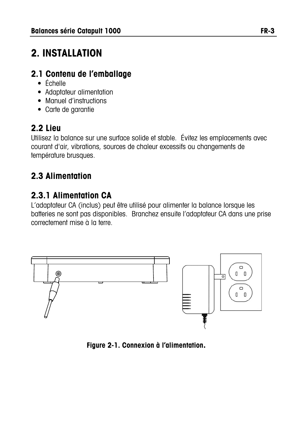# **2. INSTALLATION**

# **2.1 Contenu de l'emballage**

- Échelle
- Adaptateur alimentation
- Manuel d'instructions
- Carte de garantie

# **2.2 Lieu**

Utilisez la balance sur une surface solide et stable. Évitez les emplacements avec courant d'air, vibrations, sources de chaleur excessifs ou changements de température brusques.

# **2.3 Alimentation**

# **2.3.1 Alimentation CA**

L'adaptateur CA (inclus) peut être utilisé pour alimenter la balance lorsque les batteries ne sont pas disponibles. Branchez ensuite l'adaptateur CA dans une prise correctement mise à la terre.



**Figure 2-1. Connexion à l'alimentation.**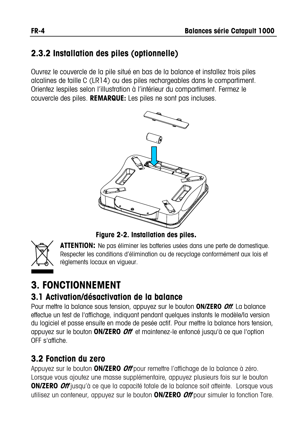# **2.3.2 Installation des piles (optionnelle)**

Ouvrez le couvercle de la pile situé en bas de la balance et installez trois piles alcalines de taille C (LR14) ou des piles rechargeables dans le compartiment. Orientez lespiles selon l'illustration à l'intérieur du compartiment. Fermez le couvercle des piles. **REMARQUE:** Les piles ne sont pas incluses.



**Figure 2-2. Installation des piles.** 



**ATTENTION:** Ne pas éliminer les batteries usées dans une perte de domestique. Respecter les conditions d'élimination ou de recyclage conformément aux lois et règlements locaux en vigueur.

# **3. FONCTIONNEMENT**

### **3.1 Activation/désactivation de la balance**

Pour mettre la balance sous tension, appuyez sur le bouton **ON/ZERO Off**. La balance effectue un test de l'affichage, indiquant pendant quelques instants le modèle/la version du logiciel et passe ensuite en mode de pesée actif. Pour mettre la balance hors tension, appuyez sur le bouton **ON/ZERO Off** et maintenez-le enfoncé jusqu'à ce que l'option OFF s'affiche.

# **3.2 Fonction du zero**

Appuyez sur le bouton **ON/ZERO Off** pour remettre l'affichage de la balance à zéro. Lorsque vous ajoutez une masse supplémentaire, appuyez plusieurs fois sur le bouton **ON/ZERO Off** jusqu'à ce que la capacité totale de la balance soit atteinte. Lorsque vous utilisez un conteneur, appuyez sur le bouton **ON/ZERO Off** pour simuler la fonction Tare.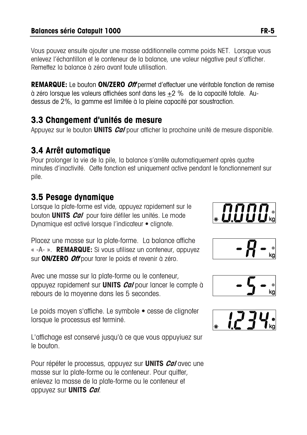Vous pouvez ensuite ajouter une masse additionnelle comme poids NET. Lorsque vous enlevez l'échantillon et le conteneur de la balance, une valeur négative peut s'afficher. Remettez la balance à zéro avant toute utilisation.

**REMARQUE:** Le bouton **ON/ZERO Off** permet d'effectuer une véritable fonction de remise à zéro lorsque les valeurs affichées sont dans les +2 % de la capacité totale. Audessus de 2%, la gamme est limitée à la pleine capacité par soustraction.

#### **3.3 Changement d'unités de mesure**

Appuyez sur le bouton **UNITS Cal** pour afficher la prochaine unité de mesure disponible.

# **3.4 Arrêt automatique**

Pour prolonger la vie de la pile, la balance s'arrête automatiquement après quatre minutes d'inactivité. Cette fonction est uniquement active pendant le fonctionnement sur pile.

## **3.5 Pesage dynamique**

Lorsque la plate-forme est vide, appuyez rapidement sur le bouton **UNITS Cal** pour faire défiler les unités. Le mode Dynamique est activé lorsque l'indicateur • clignote.

Placez une masse sur la plate-forme. La balance affiche «-A- ». **REMARQUE:** Si vous utilisez un conteneur, appuyez sur **ON/ZERO Off** pour tarer le poids et revenir à zéro.

Avec une masse sur la plate-forme ou le conteneur, appuyez rapidement sur **UNITS Cal** pour lancer le compte à rebours de la moyenne dans les 5 secondes.

Le poids moyen s'affiche. Le symbole • cesse de clignoter lorsque le processus est terminé.

L'affichage est conservé jusqu'à ce que vous appuyiuez sur le bouton.

Pour répéter le processus, appuyez sur **UNITS Cal** avec une masse sur la plate-forme ou le conteneur. Pour quitter, enlevez la masse de la plate-forme ou le conteneur et appuyez sur **UNITS Cal**.







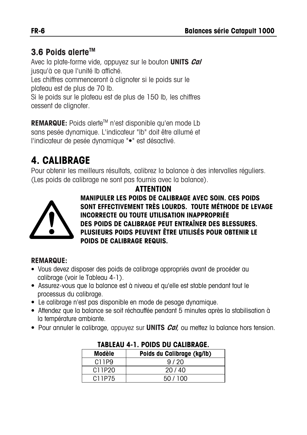### **3.6 Poids alerteTM**

Avec la plate-forme vide, appuyez sur le bouton **UNITS Cal** jusqu'à ce que l'unité lb affiché.

Les chiffres commenceront à clignoter si le poids sur le

plateau est de plus de 70 lb.

Si le poids sur le plateau est de plus de 150 lb, les chiffres cessent de clignoter.

**REMARQUE:** Poids alerte<sup>™</sup> n'est disponible qu'en mode Lb sans pesée dynamique. L'indicateur "lb" doit être allumé et l'indicateur de pesée dynamique "•" est désactivé.

# **4. CALIBRAGE**

Pour obtenir les meilleurs résultats, calibrez la balance à des intervalles réguliers. (Les poids de calibrage ne sont pas fournis avec la balance).

#### **ATTENTION**



**MANIPULER LES POIDS DE CALIBRAGE AVEC SOIN. CES POIDS SONT EFFECTIVEMENT TRÈS LOURDS. TOUTE MÉTHODE DE LEVAGE INCORRECTE OU TOUTE UTILISATION INAPPROPRIÉE DES POIDS DE CALIBRAGE PEUT ENTRAÎNER DES BLESSURES. PLUSIEURS POIDS PEUVENT ÊTRE UTILISÉS POUR OBTENIR LE POIDS DE CALIBRAGE REQUIS.** 

#### **REMARQUE:**

- Vous devez disposer des poids de calibrage appropriés avant de procéder au calibrage (voir le Tableau 4-1).
- Assurez-vous que la balance est à niveau et qu'elle est stable pendant tout le processus du calibrage.
- Le calibrage n'est pas disponible en mode de pesage dynamique.
- Attendez que la balance se soit réchauffée pendant 5 minutes après la stabilisation à la température ambiante.
- Pour annuler le calibrage, appuyez sur **UNITS Cal**, ou mettez la balance hors tension.

| IADLLAV TII. I VIDU DU UALIDINAVLI. |                            |  |
|-------------------------------------|----------------------------|--|
| Modèle                              | Poids du Calibrage (kg/lb) |  |
| C11P9                               | 9/20                       |  |
| C11P20                              | 20/40                      |  |
| C11P75                              | 50/100                     |  |

#### **TABLEAU 4-1. POIDS DU CALIBRAGE.**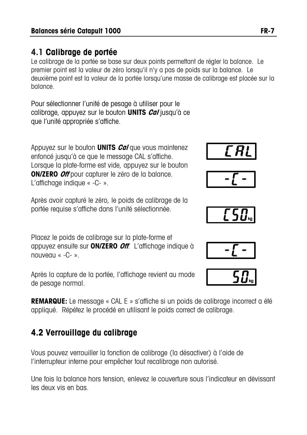#### **4.1 Calibrage de portée**

Le calibrage de la portée se base sur deux points permettant de régler la balance. Le premier point est la valeur de zéro lorsqu'il n'y a pas de poids sur la balance. Le deuxième point est la valeur de la portée lorsqu'une masse de calibrage est placée sur la balance.

Pour sélectionner l'unité de pesage à utiliser pour le calibrage, appuyez sur le bouton **UNITS Cal** jusqu'à ce que l'unité appropriée s'affiche.

Appuyez sur le bouton **UNITS Cal** que vous maintenez enfoncé jusqu'à ce que le message CAL s'affiche. Lorsque la plate-forme est vide, appuyez sur le bouton **ON/ZERO Off** pour capturer le zéro de la balance. L'affichage indique « -C- ».

Après avoir capturé le zéro, le poids de calibrage de la portée requise s'affiche dans l'unité sélectionnée.

Placez le poids de calibrage sur la plate-forme et appuyez ensuite sur **ON/ZERO Off**. L'affichage indique à nouveau « $-C-$ ».

Après la capture de la portée, l'affichage revient au mode de pesage normal.

**REMARQUE:** Le message « CAL E » s'affiche si un poids de calibrage incorrect a été appliqué. Répétez le procédé en utilisant le poids correct de calibrage.

# **4.2 Verrouillage du calibrage**

Vous pouvez verrouiller la fonction de calibrage (la désactiver) à l'aide de l'interrupteur interne pour empêcher tout recalibrage non autorisé.

Une fois la balance hors tension, enlevez le couverture sous l'indicateur en dévissant les deux vis en bas.









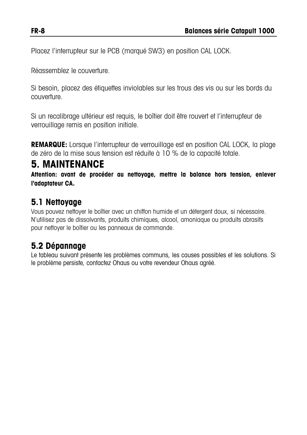Placez l'interrupteur sur le PCB (marqué SW3) en position CAL LOCK.

Réassemblez le couverture.

Si besoin, placez des étiquettes inviolables sur les trous des vis ou sur les bords du couverture.

Si un recalibrage ultérieur est requis, le boîtier doit être rouvert et l'interrupteur de verrouillage remis en position initiale.

**REMARQUE:** Lorsque l'interrupteur de verrouillage est en position CAL LOCK, la plage de zéro de la mise sous tension est réduite à 10 % de la capacité totale.

# **5. MAINTENANCE**

**Attention: avant de procéder au nettoyage, mettre la balance hors tension, enlever l'adaptateur CA.** 

#### **5.1 Nettoyage**

Vous pouvez nettoyer le boîtier avec un chiffon humide et un détergent doux, si nécessaire. N'utilisez pas de dissolvants, produits chimiques, alcool, amoniaque ou produits abrasifs pour nettoyer le boîtier ou les panneaux de commande.

# **5.2 Dépannage**

Le tableau suivant présente les problèmes communs, les causes possibles et les solutions. Si le problème persiste, contactez Ohaus ou votre revendeur Ohaus agréé.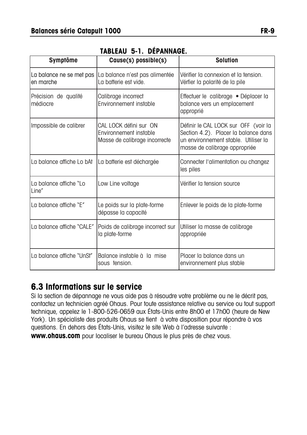| Symptôme                              | Cause(s) possible(s)                                                              | <b>Solution</b>                                                                                                                                       |
|---------------------------------------|-----------------------------------------------------------------------------------|-------------------------------------------------------------------------------------------------------------------------------------------------------|
| La balance ne se met pas<br>en marche | La balance n'est pas alimentée<br>La batterie est vide.                           | Vérifier la connexion et la tension.<br>Vérfier la polarité de la pile                                                                                |
| Précision de qualité<br>médiocre      | Calibrage incorrect<br>Environnement instable                                     | Effectuer le calibrage • Déplacer la<br>balance vers un emplacement<br>approprié                                                                      |
| Impossible de calibrer                | CAL LOCK défini sur ON<br>Environnement instable<br>Masse de calibrage incorrecte | Définir le CAL LOCK sur OFF (voir la<br>Section 4.2). Placer la balance dans<br>un environnement stable. Utiliser la<br>masse de calibrage appropriée |
| La balance affiche Lo bAt             | La batterie est déchargée                                                         | Connecter l'alimentation ou changez<br>les piles                                                                                                      |
| La balance affiche "Lo<br>Line"       | Low Line voltage                                                                  | Vérifier la tension source                                                                                                                            |
| La balance affiche "E"                | Le poids sur la plate-forme<br>dépasse la capacité                                | Enlever le poids de la plate-forme                                                                                                                    |
| La balance affiche "CALE"             | Poids de calibrage incorrect sur<br>la plate-forme                                | Utiliser la masse de calibrage<br>appropriée                                                                                                          |
| La balance affiche "UnSt"             | Balance instable à la mise<br>sous tension.                                       | Placer la balance dans un<br>environnement plus stable                                                                                                |

#### **TABLEAU 5-1. DÉPANNAGE.**

#### **6.3 Informations sur le service**

Si la section de dépannage ne vous aide pas à résoudre votre problème ou ne le décrit pas, contactez un technicien agréé Ohaus. Pour toute assistance relative au service ou tout support technique, appelez le 1-800-526-0659 aux États-Unis entre 8h00 et 17h00 (heure de New York). Un spécialiste des produits Ohaus se tient à votre disposition pour répondre à vos questions. En dehors des États-Unis, visitez le site Web à l'adresse suivante : **www.ohaus.com** pour localiser le bureau Ohaus le plus près de chez vous.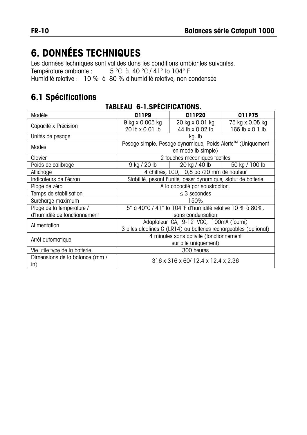# **6. DONNÉES TECHNIQUES**

Les données techniques sont valides dans les conditions ambiantes suivantes.<br>Température ambiante :  $5^{\circ}$ C à 40 °C / 41 ° to 104 °F 5 °C à 40 °C / 41° to 104° F Humidité relative : 10 % à 80 % d'humidité relative, non condensée

#### **6.1 Spécifications**

| Modèle                                           | C11P9                                                            | C11P20                                    | C11P75          |  |
|--------------------------------------------------|------------------------------------------------------------------|-------------------------------------------|-----------------|--|
| Capacité x Précision                             | 9 kg x 0.005 kg                                                  | 20 kg x 0.01 kg                           | 75 kg x 0.05 kg |  |
|                                                  | 20 lb x 0.01 lb                                                  | 44 lb x 0.02 lb                           | 165 lb x 0.1 lb |  |
| Unités de pesage                                 |                                                                  | kg, lb                                    |                 |  |
| Modes                                            | Pesage simple, Pesage dynamique, Poids Alerte™ (Uniquement       |                                           |                 |  |
|                                                  | en mode lb simple)                                               |                                           |                 |  |
| Clavier                                          |                                                                  | 2 touches mécaniques tactiles             |                 |  |
| Poids de calibrage                               | 9 kg / 20 lb                                                     | 20 kg / 40 lb                             | 50 kg / 100 lb  |  |
| Affichage                                        |                                                                  | 4 chiffres, LCD, 0,8 po./20 mm de hauteur |                 |  |
| Indicateurs de l'écran                           | Stabilité, pesant l'unité, peser dynamique, statut de batterie   |                                           |                 |  |
| A la capacité par soustraction.<br>Plage de zéro |                                                                  |                                           |                 |  |
| Temps de stabilisation                           | $\leq$ 3 secondes                                                |                                           |                 |  |
| Surcharge maximum                                | 150%                                                             |                                           |                 |  |
| Plage de la temperature /                        | 5° à 40°C / 41° to 104°F d'humidité relative 10 % à 80%,         |                                           |                 |  |
| d'humidité de fonctionnement                     |                                                                  | sans condensation                         |                 |  |
|                                                  | Adaptateur CA, 9-12 VCC, 100mA (fourni)                          |                                           |                 |  |
| Alimentation                                     | 3 piles alcalines C (LR14) ou batteries rechargeables (optional) |                                           |                 |  |
|                                                  | 4 minutes sans activité (fonctionnement                          |                                           |                 |  |
| Arrêt automatique                                | sur pile uniquement)                                             |                                           |                 |  |
| 300 heures<br>Vie utile type de la batterie      |                                                                  |                                           |                 |  |
| Dimensions de la balance (mm /                   |                                                                  |                                           |                 |  |
| $\mathsf{in}$                                    | 316 x 316 x 60/ 12.4 x 12.4 x 2.36                               |                                           |                 |  |

#### **TABLEAU 6-1.SPÉCIFICATIONS.**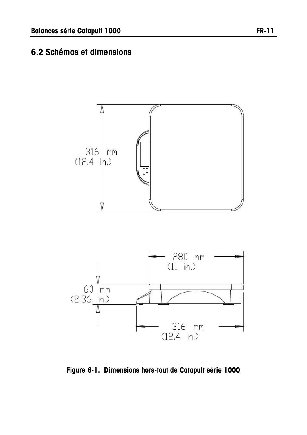#### **6.2 Schémas et dimensions**



**Figure 6-1. Dimensions hors-tout de Catapult série 1000**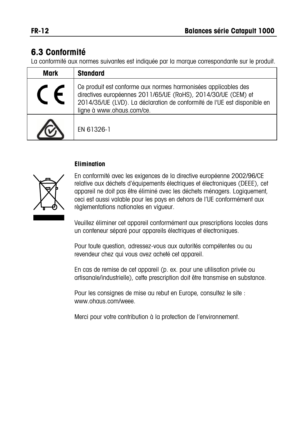#### **6.3 Conformité**

La conformité aux normes suivantes est indiquée par la marque correspondante sur le produit.

| Mark | <b>Standard</b>                                                                                                                                                                                                                          |
|------|------------------------------------------------------------------------------------------------------------------------------------------------------------------------------------------------------------------------------------------|
|      | Ce produit est conforme aux normes harmonisées applicables des<br>directives européennes 2011/65/UE (RoHS), 2014/30/UE (CEM) et<br>2014/35/UE (LVD). La déclaration de conformité de l'UE est disponible en<br>ligne à www.ohaus.com/ce. |
|      | EN 61326-1                                                                                                                                                                                                                               |

#### **Elimination**



En conformité avec les exigences de la directive européenne 2002/96/CE relative aux déchets d'équipements électriques et électroniques (DEEE), cet appareil ne doit pas être éliminé avec les déchets ménagers. Logiquement, ceci est aussi valable pour les pays en dehors de l'UE conformément aux règlementations nationales en vigueur.

Veuillez éliminer cet appareil conformément aux prescriptions locales dans un conteneur séparé pour appareils électriques et électroniques.

Pour toute question, adressez-vous aux autorités compétentes ou au revendeur chez qui vous avez acheté cet appareil.

En cas de remise de cet appareil (p. ex. pour une utilisation privée ou artisanale/industrielle), cette prescription doit être transmise en substance.

Pour les consignes de mise au rebut en Europe, consultez le site : www.ohaus.com/weee.

Merci pour votre contribution à la protection de l'environnement.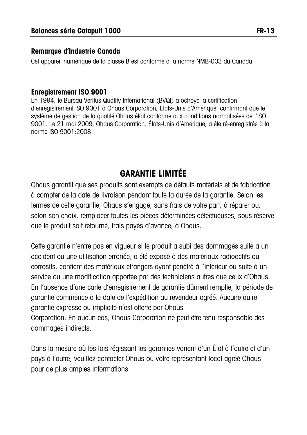#### **Remarque d'Industrie Canada**

Cet appareil numérique de la classe B est conforme à la norme NMB-003 du Canada.

#### **Enregistrement ISO 9001**

En 1994, le Bureau Veritus Quality International (BVQI) a octroyé la certification d'enregistrement ISO 9001 à Ohaus Corporation, États-Unis d'Amérique, confirmant que le système de gestion de la qualité Ohaus était conforme aux conditions normalisées de l'ISO 9001. Le 21 mai 2009, Ohaus Corporation, États-Unis d'Amérique, a été ré-enregistrée à la norme ISO 9001:2008.

### **GARANTIE LIMITÉE**

Ohaus garantit que ses produits sont exempts de défauts matériels et de fabrication à compter de la date de livraison pendant toute la durée de la garantie. Selon les termes de cette garantie, Ohaus s'engage, sans frais de votre part, à réparer ou, selon son choix, remplacer toutes les pièces déterminées défectueuses, sous réserve que le produit soit retourné, frais payés d'avance, à Ohaus.

Cette garantie n'entre pas en vigueur si le produit a subi des dommages suite à un accident ou une utilisation erronée, a été exposé à des matériaux radioactifs ou corrosifs, contient des matériaux étrangers ayant pénétré à l'intérieur ou suite à un service ou une modification apportée par des techniciens autres que ceux d'Ohaus. En l'absence d'une carte d'enregistrement de garantie dûment remplie, la période de garantie commence à la date de l'expédition au revendeur agréé. Aucune autre garantie expresse ou implicite n'est offerte par Ohaus Corporation. En aucun cas, Ohaus Corporation ne peut être tenu responsable des dommages indirects.

Dans la mesure où les lois régissant les garanties varient d'un État à l'autre et d'un pays à l'autre, veuillez contacter Ohaus ou votre représentant local agréé Ohaus pour de plus amples informations.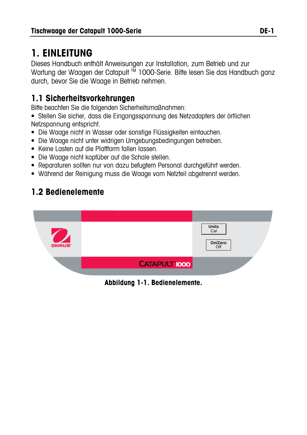# **1. EINLEITUNG**

Dieses Handbuch enthält Anweisungen zur Installation, zum Betrieb und zur Wartung der Waagen der Catapult<sup>M</sup> 1000-Serie. Bitte lesen Sie das Handbuch ganz durch, bevor Sie die Waage in Betrieb nehmen.

## **1.1 Sicherheitsvorkehrungen**

Bitte beachten Sie die folgenden Sicherheitsmaßnahmen:

• Stellen Sie sicher, dass die Eingangsspannung des Netzadapters der örtlichen Netzspannung entspricht.

- Die Waage nicht in Wasser oder sonstige Flüssigkeiten eintauchen.
- Die Waage nicht unter widrigen Umgebungsbedingungen betreiben.
- Keine Lasten auf die Plattform fallen lassen.
- Die Waage nicht kopfüber auf die Schale stellen.
- Reparaturen sollten nur von dazu befugtem Personal durchgeführt werden.
- Während der Reinigung muss die Waage vom Netzteil abgetrennt werden.

## **1.2 Bedienelemente**



**Abbildung 1-1. Bedienelemente.**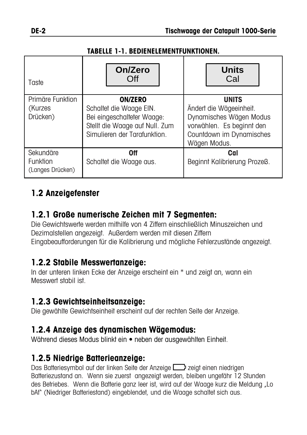#### **TABELLE 1-1. BEDIENELEMENTFUNKTIONEN.**

| Taste                                     | On/Zero<br>Off                                                                                                                            | <b>Units</b><br>Cal                                                                                                                         |
|-------------------------------------------|-------------------------------------------------------------------------------------------------------------------------------------------|---------------------------------------------------------------------------------------------------------------------------------------------|
| Primäre Funktion<br>(Kurzes<br>Drücken)   | <b>ON/ZERO</b><br>Schaltet die Waage EIN.<br>Bei eingeschalteter Waage:<br>Stellt die Waage auf Null. Zum<br>Simulieren der Tarafunktion. | <b>UNITS</b><br>Ändert die Wägeeinheit.<br>Dynamisches Wägen Modus<br>vorwählen. Es beginnt den<br>Countdown im Dynamisches<br>Wägen Modus. |
| Sekundäre<br>Funktion<br>(Langes Drücken) | 0ff<br>Schaltet die Waage aus.                                                                                                            | Cal<br>Beginnt Kalibrierung Prozeß.                                                                                                         |

## **1.2 Anzeigefenster**

#### **1.2.1 Große numerische Zeichen mit 7 Segmenten:**

Die Gewichtswerte werden mithilfe von 4 Ziffern einschließlich Minuszeichen und Dezimalstellen angezeigt. Außerdem werden mit diesen Ziffern Eingabeaufforderungen für die Kalibrierung und mögliche Fehlerzustände angezeigt.

#### **1.2.2 Stabile Messwertanzeige:**

In der unteren linken Ecke der Anzeige erscheint ein \* und zeigt an, wann ein Messwert stabil ist.

### **1.2.3 Gewichtseinheitsanzeige:**

Die gewählte Gewichtseinheit erscheint auf der rechten Seite der Anzeige.

### **1.2.4 Anzeige des dynamischen Wägemodus:**

Während dieses Modus blinkt ein **•** neben der ausgewählten Einheit.

## **1.2.5 Niedrige Batterieanzeige:**

Das Batteriesymbol auf der linken Seite der Anzeige zeigt einen niedrigen Batteriezustand an. Wenn sie zuerst angezeigt werden, bleiben ungefähr 12 Stunden des Betriebes. Wenn die Batterie ganz leer ist, wird auf der Waage kurz die Meldung "Lo bAt" (Niedriger Batteriestand) eingeblendet, und die Waage schaltet sich aus.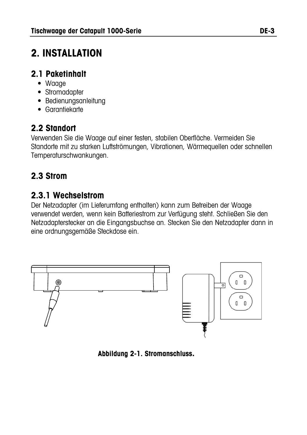# **2. INSTALLATION**

#### **2.1 Paketinhalt**

- Waage
- Stromadapter
- Bedienungsanleitung
- Garantiekarte

## **2.2 Standort**

Verwenden Sie die Waage auf einer festen, stabilen Oberfläche. Vermeiden Sie Standorte mit zu starken Luftströmungen, Vibrationen, Wärmequellen oder schnellen Temperaturschwankungen.

## **2.3 Strom**

### **2.3.1 Wechselstrom**

Der Netzadapter (im Lieferumfang enthalten) kann zum Betreiben der Waage verwendet werden, wenn kein Batteriestrom zur Verfügung steht. Schließen Sie den Netzadapterstecker an die Eingangsbuchse an. Stecken Sie den Netzadapter dann in eine ordnungsgemäße Steckdose ein.



**Abbildung 2-1. Stromanschluss.**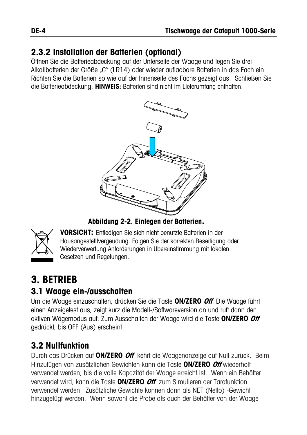### **2.3.2 Installation der Batterien (optional)**

Öffnen Sie die Batterieabdeckung auf der Unterseite der Waage und legen Sie drei Alkalibatterien der Größe "C" (LR14) oder wieder aufladbare Batterien in das Fach ein. Richten Sie die Batterien so wie auf der Innenseite des Fachs gezeigt aus. Schließen Sie die Batterieabdeckung. **HINWEIS:** Batterien sind nicht im Lieferumfang enthalten.



**Abbildung 2-2. Einlegen der Batterien.** 



**VORSICHT:** Entledigen Sie sich nicht benutzte Batterien in der Hausangestelltvergeudung. Folgen Sie der korrekten Beseitigung oder Wiederverwertung Anforderungen in Übereinstimmung mit lokalen Gesetzen und Regelungen.

# **3. BETRIEB**

#### **3.1 Waage ein-/ausschalten**

Um die Waage einzuschalten, drücken Sie die Taste **ON/ZERO Off**. Die Waage führt einen Anzeigetest aus, zeigt kurz die Modell-/Softwareversion an und ruft dann den aktiven Wägemodus auf. Zum Ausschalten der Waage wird die Taste **ON/ZERO Off** gedrückt, bis OFF (Aus) erscheint.

# **3.2 Nullfunktion**

Durch das Drücken auf **ON/ZERO Off** kehrt die Waagenanzeige auf Null zurück. Beim Hinzufügen von zusätzlichen Gewichten kann die Taste **ON/ZERO Off** wiederholt verwendet werden, bis die volle Kapazität der Waage erreicht ist. Wenn ein Behälter verwendet wird, kann die Taste **ON/ZERO Off** zum Simulieren der Tarafunktion verwendet werden. Zusätzliche Gewichte können dann als NET (Netto) -Gewicht hinzugefügt werden. Wenn sowohl die Probe als auch der Behälter von der Waage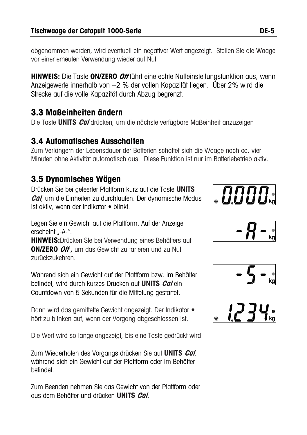abgenommen werden, wird eventuell ein negativer Wert angezeigt. Stellen Sie die Waage vor einer erneuten Verwendung wieder auf Null

**HINWEIS:** Die Taste **ON/ZERO Off** führt eine echte Nulleinstellungsfunktion aus, wenn Anzeigewerte innerhalb von +2 % der vollen Kapazität liegen. Über 2% wird die Strecke auf die volle Kapazität durch Abzug begrenzt.

## **3.3 Maßeinheiten ändern**

Die Taste **UNITS Cal** drücken, um die nächste verfügbare Maßeinheit anzuzeigen

#### **3.4 Automatisches Ausschalten**

Zum Verlängern der Lebensdauer der Batterien schaltet sich die Waage nach ca. vier Minuten ohne Aktivität automatisch aus. Diese Funktion ist nur im Batteriebetrieb aktiv.

### **3.5 Dynamisches Wägen**

Drücken Sie bei geleerter Plattform kurz auf die Taste **UNITS Cal**, um die Einheiten zu durchlaufen. Der dynamische Modus ist aktiv, wenn der Indikator • blinkt.



Legen Sie ein Gewicht auf die Plattform. Auf der Anzeige erscheint .-A-".

**HINWEIS:**Drücken SIe bei Verwendung eines Behälters auf **ON/ZERO Off ,** um das Gewicht zu tarieren und zu Null zurückzukehren.

Während sich ein Gewicht auf der Plattform bzw. im Behälter befindet, wird durch kurzes Drücken auf **UNITS Cal** ein Countdown von 5 Sekunden für die Mittelung gestartet.

Dann wird das gemittelte Gewicht angezeigt. Der Indikator • hört zu blinken auf, wenn der Vorgang abgeschlossen ist.

Die Wert wird so lange angezeigt, bis eine Taste gedrückt wird.

Zum Wiederholen des Vorgangs drücken Sie auf **UNITS Cal**, während sich ein Gewicht auf der Plattform oder im Behälter befindet.

Zum Beenden nehmen Sie das Gewicht von der Plattform oder aus dem Behälter und drücken **UNITS Cal**.





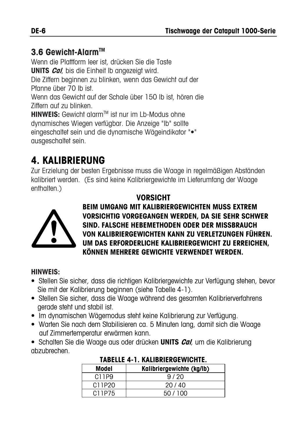### **3.6 Gewicht-AlarmTM**

Wenn die Plattform leer ist, drücken Sie die Taste **UNITS Cal**, bis die Einheit lb angezeigt wird. Die Ziffern beginnen zu blinken, wenn das Gewicht auf der Pfanne über 70 lb ist. Wenn das Gewicht auf der Schale über 150 lb ist, hören die Ziffern auf zu blinken. **HINWEIS:** Gewicht alarm™ ist nur im I b-Modus ohne dynamisches Wiegen verfügbar. Die Anzeige "lb" sollte eingeschaltet sein und die dynamische Wägeindikator "•" ausgeschaltet sein.

# **4. KALIBRIERUNG**

Zur Erzielung der besten Ergebnisse muss die Waage in regelmäßigen Abständen kalibriert werden. (Es sind keine Kalibriergewichte im Lieferumfang der Waage enthalten.)

#### **VORSICHT**



**BEIM UMGANG MIT KALIBRIERGEWICHTEN MUSS EXTREM VORSICHTIG VORGEGANGEN WERDEN, DA SIE SEHR SCHWER SIND. FALSCHE HEBEMETHODEN ODER DER MISSBRAUCH VON KALIBRIERGEWICHTEN KANN ZU VERLETZUNGEN FÜHREN. UM DAS ERFORDERLICHE KALIBRIERGEWICHT ZU ERREICHEN, KÖNNEN MEHRERE GEWICHTE VERWENDET WERDEN.** 

#### **HINWEIS:**

- Stellen Sie sicher, dass die richtigen Kalibriergewichte zur Verfügung stehen, bevor Sie mit der Kalibrierung beginnen (siehe Tabelle 4-1).
- Stellen Sie sicher, dass die Waage während des gesamten Kalibrierverfahrens gerade steht und stabil ist.
- Im dynamischen Wägemodus steht keine Kalibrierung zur Verfügung.
- Warten Sie nach dem Stabilisieren ca. 5 Minuten lang, damit sich die Waage auf Zimmertemperatur erwärmen kann.
- Schalten Sie die Waage aus oder drücken **UNITS Cal**, um die Kalibrierung abzubrechen.

| Model  | Kalibriergewichte (kg/lb) |  |
|--------|---------------------------|--|
| C11P9  | 9/20                      |  |
| C11P20 | 20/40                     |  |
| C11P75 | 50/100                    |  |

#### **TABELLE 4-1. KALIBRIERGEWICHTE.**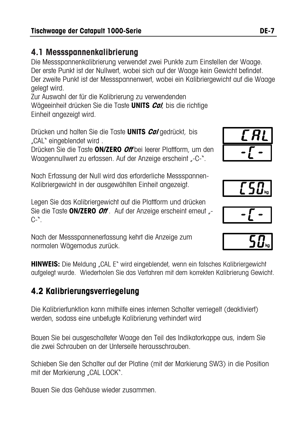#### **4.1 Messspannenkalibrierung**

Die Messspannenkalibrierung verwendet zwei Punkte zum Einstellen der Waage. Der erste Punkt ist der Nullwert, wobei sich auf der Waage kein Gewicht befindet. Der zweite Punkt ist der Messspannenwert, wobei ein Kalibriergewicht auf die Waage gelegt wird.

Zur Auswahl der für die Kalibrierung zu verwendenden Wägeeinheit drücken Sie die Taste **UNITS Cal**, bis die richtige Einheit angezeigt wird.

Drücken und halten Sie die Taste **UNITS Cal** gedrückt, bis "CAL" eingeblendet wird .

Drücken Sie die Taste **ON/ZERO Off** bei leerer Plattform, um den Waagennullwert zu erfassen. Auf der Anzeige erscheint "-C-".

Nach Erfassung der Null wird das erforderliche Messspannen-Kalibriergewicht in der ausgewählten Einheit angezeigt.

Legen Sie das Kalibriergewicht auf die Plattform und drücken Sie die Taste **ON/ZERO** *Off*. Auf der Anzeige erscheint erneut <sub>"</sub>  $C-$ ".

Nach der Messspannenerfassung kehrt die Anzeige zum normalen Wägemodus zurück.

**HINWEIS:** Die Meldung "CAL E" wird eingeblendet, wenn ein falsches Kalibriergewicht aufgelegt wurde. Wiederholen Sie das Verfahren mit dem korrekten Kalibrierung Gewicht.

## **4.2 Kalibrierungsverriegelung**

Die Kalibrierfunktion kann mithilfe eines internen Schalter verriegelt (deaktiviert) werden, sodass eine unbefugte Kalibrierung verhindert wird

Bauen Sie bei ausgeschalteter Waage den Teil des Indikatorkappe aus, indem Sie die zwei Schrauben an der Unterseite herausschrauben.

Schieben Sie den Schalter auf der Platine (mit der Markierung SW3) in die Position mit der Markierung "CAL LOCK".

Bauen Sie das Gehäuse wieder zusammen.





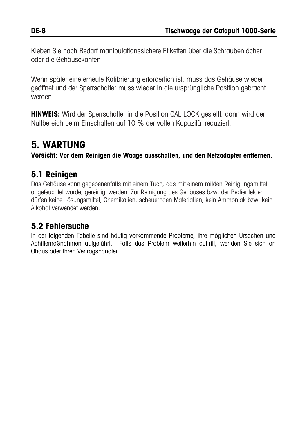Kleben Sie nach Bedarf manipulationssichere Etiketten über die Schraubenlöcher oder die Gehäusekanten

Wenn später eine erneute Kalibrierung erforderlich ist, muss das Gehäuse wieder geöffnet und der Sperrschalter muss wieder in die ursprüngliche Position gebracht werden

**HINWEIS:** Wird der Sperrschalter in die Position CAL LOCK gestellt, dann wird der Nullbereich beim Einschalten auf 10 % der vollen Kapazität reduziert.

# **5. WARTUNG**

**Vorsicht: Vor dem Reinigen die Waage ausschalten, und den Netzadapter entfernen.**

#### **5.1 Reinigen**

Das Gehäuse kann gegebenenfalls mit einem Tuch, das mit einem milden Reinigungsmittel angefeuchtet wurde, gereinigt werden. Zur Reinigung des Gehäuses bzw. der Bedienfelder dürfen keine Lösungsmittel, Chemikalien, scheuernden Materialien, kein Ammoniak bzw. kein Alkohol verwendet werden.

#### **5.2 Fehlersuche**

In der folgenden Tabelle sind häufig vorkommende Probleme, ihre möglichen Ursachen und Abhilfemaßnahmen aufgeführt. Falls das Problem weiterhin auftritt, wenden Sie sich an Ohaus oder Ihren Vertragshändler.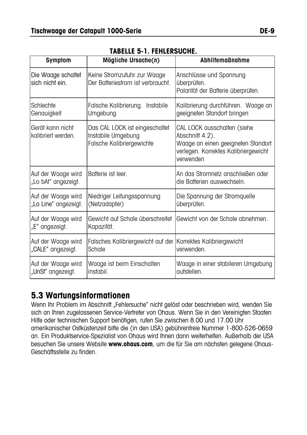| <b>Symptom</b>                             | Mögliche Ursache(n)                                                               | <b>Abhilfemaßnahme</b>                                                                                                                    |
|--------------------------------------------|-----------------------------------------------------------------------------------|-------------------------------------------------------------------------------------------------------------------------------------------|
| Die Waage schaltet<br>sich nicht ein.      | Keine Stromzufuhr zur Waage<br>Der Batteriestrom ist verbraucht.                  | Anschlüsse und Spannung<br>überprüfen.<br>Polarität der Batterie überprüfen.                                                              |
| Schlechte<br>Genauigkeit                   | Falsche Kalibrierung. Instabile<br>Umgebung                                       | Kalibrierung durchführen. Waage an<br>geeigneten Standort bringen                                                                         |
| Gerät kann nicht<br>kalibriert werden.     | Das CAL LOCK ist eingeschaltet<br>Instabile Umgebung<br>Falsche Kalibriergewichte | CAL LOCK ausschalten (siehe<br>Abschnitt 4.2).<br>Waage an einen geeigneten Standort<br>verlegen. Korrektes Kalibriergewicht<br>verwenden |
| Auf der Waage wird<br>"Lo bAt" angezeigt.  | Batterie ist leer.                                                                | An das Stromnetz anschließen oder<br>die Batterien auswechseln.                                                                           |
| Auf der Waage wird<br>"Lo Line" angezeigt. | Niedriger Leitungsspannung<br>(Netzadapter)                                       | Die Spannung der Stromquelle<br>überprüfen.                                                                                               |
| Auf der Waage wird<br>"E" angezeigt.       | Gewicht auf Schale überschreitet<br>Kapazität.                                    | Gewicht von der Schale abnehmen.                                                                                                          |
| Auf der Waage wird<br>"CALE" angezeigt.    | Falsches Kalibriergewicht auf der Korrektes Kalibriergewicht<br>Schale            | verwenden.                                                                                                                                |
| Auf der Waage wird<br>"UnSt" angezeigt.    | Waage ist beim Einschalten<br>instabil.                                           | Waage in einer stabileren Umgebung<br>aufstellen.                                                                                         |

#### **TABELLE 5-1. FEHLERSUCHE.**

#### **5.3 Wartungsinformationen**

Wenn Ihr Problem im Abschnitt "Fehlersuche" nicht gelöst oder beschrieben wird, wenden Sie sich an Ihren zugelassenen Service-Vertreter von Ohaus. Wenn Sie in den Vereinigten Staaten Hilfe oder technischen Support benötigen, rufen Sie zwischen 8.00 und 17.00 Uhr amerikanischer Ostküstenzeit bitte die (in den USA) gebührenfreie Nummer 1-800-526-0659 an. Ein Produktservice-Spezialist von Ohaus wird Ihnen dann weiterhelfen. Außerhalb der USA besuchen Sie unsere Website **www.ohaus.com**, um die für Sie am nächsten gelegene Ohaus-Geschäftsstelle zu finden.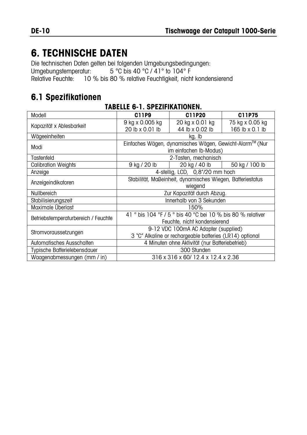# **6. TECHNISCHE DATEN**

Die technischen Daten gelten bei folgenden Umgebungsbedingungen:

Umgebungstemperatur: 5 °C bis 40 °C / 41° to 104° F

Relative Feuchte: 10 % bis 80 % relative Feuchtigkeit, nicht kondensierend

## **6.1 Spezifikationen**

| Modell                              | C11P9                                                       | C11P20                          | C11P75          |  |
|-------------------------------------|-------------------------------------------------------------|---------------------------------|-----------------|--|
|                                     | 9 kg x 0.005 kg                                             | 20 kg x 0.01 kg                 | 75 kg x 0.05 kg |  |
| Kapazität x Ablesbarkeit            | 20 lb x 0.01 lb                                             | 44 lb x 0.02 lb                 | 165 lb x 0.1 lb |  |
| Wägeeinheiten                       |                                                             | kg, Ib                          |                 |  |
| Modi                                | Einfaches Wägen, dynamisches Wägen, Gewicht-Alarm™ (Nur     |                                 |                 |  |
|                                     | im einfachen Ib-Modus)                                      |                                 |                 |  |
| Tastenfeld                          |                                                             | 2-Tasten, mechanisch            |                 |  |
| <b>Calibration Weights</b>          | 9 kg / 20 lb                                                | 20 kg / 40 lb                   | 50 kg / 100 lb  |  |
| Anzeige                             |                                                             | 4-stellig, LCD, 0,8"/20 mm hoch |                 |  |
| Anzeigeindikatoren                  | Stabilität, Maßeinheit, dynamisches Wiegen, Batteriestatus  |                                 |                 |  |
|                                     | wiegend                                                     |                                 |                 |  |
| Nullbereich                         | Zur Kapazität durch Abzug.                                  |                                 |                 |  |
| Stabilisierungszeit                 |                                                             | Innerhalb von 3 Sekunden        |                 |  |
| Maximale Überlast                   |                                                             | 150%                            |                 |  |
| Betriebstemperaturbereich / Feuchte | 41 ° bis 104 °F / 5 ° bis 40 °C bei 10 % bis 80 % relativer |                                 |                 |  |
|                                     | Feuchte, nicht kondensierend                                |                                 |                 |  |
| Stromvoraussetzungen                | 9-12 VDC 100mA AC Adapter (supplied)                        |                                 |                 |  |
|                                     | 3 "C" Alkaline or rechargeable batteries (LR14) optional    |                                 |                 |  |
| Automatisches Ausschalten           | 4 Minuten ohne Aktivität (nur Batteriebetrieb)              |                                 |                 |  |
| Typische Batterielebensdauer        | 300 Stunden                                                 |                                 |                 |  |
| Waagenabmessungen (mm / in)         | 316 x 316 x 60/ 12.4 x 12.4 x 2.36                          |                                 |                 |  |

#### **TABELLE 6-1. SPEZIFIKATIONEN.**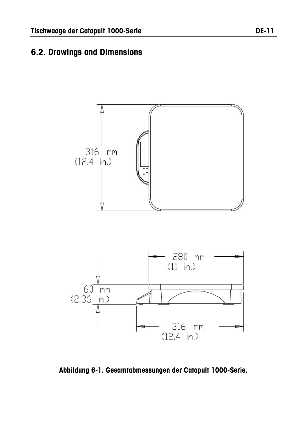#### **6.2. Drawings and Dimensions**



**Abbildung 6-1. Gesamtabmessungen der Catapult 1000-Serie.**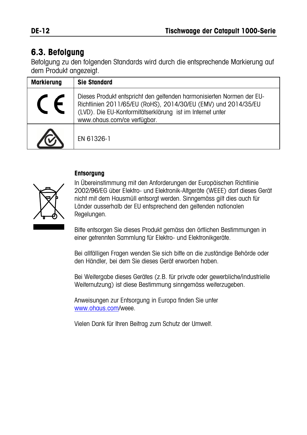## **6.3. Befolgung**

Befolgung zu den folgenden Standards wird durch die entsprechende Markierung auf dem Produkt angezeigt.

| <b>Markierung</b> | <b>Sie Standard</b>                                                                                                                                                                                                                 |
|-------------------|-------------------------------------------------------------------------------------------------------------------------------------------------------------------------------------------------------------------------------------|
|                   | Dieses Produkt entspricht den geltenden harmonisierten Normen der EU-<br>Richtlinien 2011/65/EU (RoHS), 2014/30/EU (EMV) und 2014/35/EU<br>(LVD). Die EU-Konformitätserklärung ist im Internet unter<br>www.ohaus.com/ce verfügbar. |
|                   | EN 61326-1                                                                                                                                                                                                                          |

#### **Entsorgung**



In Übereinstimmung mit den Anforderungen der Europäischen Richtlinie 2002/96/EG über Elektro- und Elektronik-Altgeräte (WEEE) darf dieses Gerät nicht mit dem Hausmüll entsorgt werden. Sinngemäss gilt dies auch für Länder ausserhalb der EU entsprechend den geltenden nationalen Regelungen.

Bitte entsorgen Sie dieses Produkt gemäss den örtlichen Bestimmungen in einer getrennten Sammlung für Elektro- und Elektronikgeräte.

Bei allfälligen Fragen wenden Sie sich bitte an die zuständige Behörde oder den Händler, bei dem Sie dieses Gerät erworben haben.

Bei Weitergabe dieses Gerätes (z.B. für private oder gewerbliche/industrielle Weiternutzung) ist diese Bestimmung sinngemäss weiterzugeben.

Anweisungen zur Entsorgung in Europa finden Sie unter [www.ohaus.com/w](http://www.ohaus.com/)eee.

Vielen Dank für Ihren Beitrag zum Schutz der Umwelt.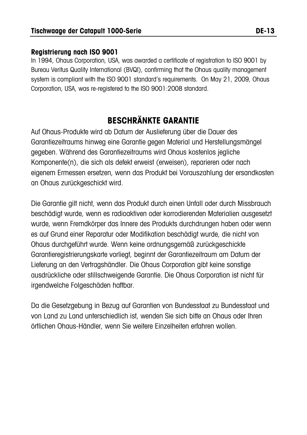#### **Registrierung nach ISO 9001**

In 1994, Ohaus Corporation, USA, was awarded a certificate of registration to ISO 9001 by Bureau Veritus Quality International (BVQI), confirming that the Ohaus quality management system is compliant with the ISO 9001 standard's requirements. On May 21, 2009, Ohaus Corporation, USA, was re-registered to the ISO 9001:2008 standard.

## **BESCHRÄNKTE GARANTIE**

Auf Ohaus-Produkte wird ab Datum der Auslieferung über die Dauer des Garantiezeitraums hinweg eine Garantie gegen Material und Herstellungsmängel gegeben. Während des Garantiezeitraums wird Ohaus kostenlos jegliche Komponente(n), die sich als defekt erweist (erweisen), reparieren oder nach eigenem Ermessen ersetzen, wenn das Produkt bei Vorauszahlung der ersandkosten an Ohaus zurückgeschickt wird.

Die Garantie gilt nicht, wenn das Produkt durch einen Unfall oder durch Missbrauch beschädigt wurde, wenn es radioaktiven oder korrodierenden Materialien ausgesetzt wurde, wenn Fremdkörper das Innere des Produkts durchdrungen haben oder wenn es auf Grund einer Reparatur oder Modifikation beschädigt wurde, die nicht von Ohaus durchgeführt wurde. Wenn keine ordnungsgemäß zurückgeschickte Garantieregistrierungskarte vorliegt, beginnt der Garantiezeitraum am Datum der Lieferung an den Vertragshändler. Die Ohaus Corporation gibt keine sonstige ausdrückliche oder stillschweigende Garantie. Die Ohaus Corporation ist nicht für irgendwelche Folgeschäden haftbar.

Da die Gesetzgebung in Bezug auf Garantien von Bundesstaat zu Bundesstaat und von Land zu Land unterschiedlich ist, wenden Sie sich bitte an Ohaus oder Ihren örtlichen Ohaus-Händler, wenn Sie weitere Einzelheiten erfahren wollen.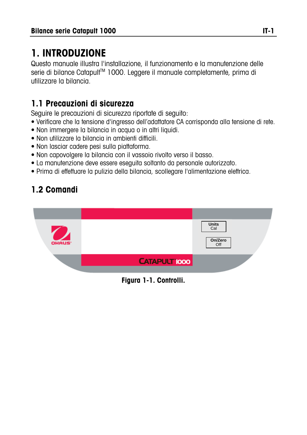# **1. INTRODUZIONE**

Questo manuale illustra l'installazione, il funzionamento e la manutenzione delle serie di bilance Catapult™ 1000. Leggere il manuale completamente, prima di utilizzare la bilancia.

### **1.1 Precauzioni di sicurezza**

Seguire le precauzioni di sicurezza riportate di seguito:

- Verificare che la tensione d'ingresso dell'adattatore CA corrisponda alla tensione di rete.
- Non immergere la bilancia in acqua o in altri liquidi.
- Non utilizzare la bilancia in ambienti difficili.
- Non lasciar cadere pesi sulla piattaforma.
- Non capovolgere la bilancia con il vassoio rivolto verso il basso.
- La manutenzione deve essere eseguita soltanto da personale autorizzato.
- Prima di effettuare la pulizia della bilancia, scollegare l'alimentazione elettrica.

# **1.2 Comandi**



**Figura 1-1. Controlli.**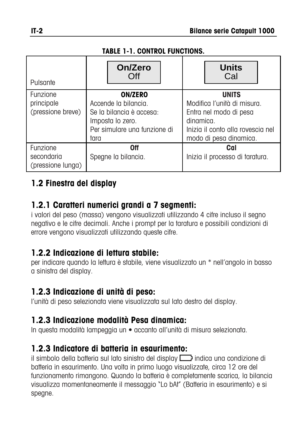#### **TABLE 1-1. CONTROL FUNCTIONS.**

| Pulsante                                    | On/Zero<br>Off                                                                                                                 | <b>Units</b><br>Cal                                                                                                                               |
|---------------------------------------------|--------------------------------------------------------------------------------------------------------------------------------|---------------------------------------------------------------------------------------------------------------------------------------------------|
| Funzione<br>principale<br>(pressione breve) | <b>ON/ZERO</b><br>Accende la bilancia.<br>Se la bilancia è accesa:<br>Imposta lo zero.<br>Per simulare una funzione di<br>tara | <b>UNITS</b><br>Modifica l'unità di misura.<br>Entra nel modo di pesa<br>dinamica.<br>Inizia il conto alla rovescia nel<br>modo di pesa dinamica. |
| Funzione<br>secondaria<br>(pressione lunga) | 0ff<br>Spegne la bilancia.                                                                                                     | Cal<br>Inizia il processo di taratura.                                                                                                            |

#### **1.2 Finestra del display**

#### **1.2.1 Caratteri numerici grandi a 7 segmenti:**

i valori del peso (massa) vengono visualizzati utilizzando 4 cifre incluso il segno negativo e le cifre decimali. Anche i prompt per la taratura e possibili condizioni di errore vengono visualizzati utilizzando queste cifre.

#### **1.2.2 Indicazione di lettura stabile:**

per indicare quando la lettura è stabile, viene visualizzato un \* nell'angolo in basso a sinistra del display.

#### **1.2.3 Indicazione di unità di peso:**

l'unità di peso selezionata viene visualizzata sul lato destro del display.

### **1.2.3 Indicazione modalità Pesa dinamica:**

In questa modalità lampeggia un **•** accanto all'unità di misura selezionata.

### **1.2.3 Indicatore di batteria in esaurimento:**

il simbolo della batteria sul lato sinistro del display indica una condizione di batteria in esaurimento. Una volta in primo luogo visualizzate, circa 12 ore del funzionamento rimangono. Quando la batteria è completamente scarica, la bilancia visualizza momentaneamente il messaggio "Lo bAt" (Batteria in esaurimento) e si spegne.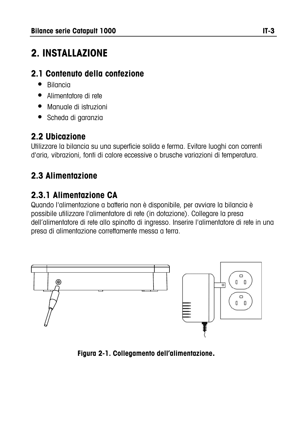# **2. INSTALLAZIONE**

#### **2.1 Contenuto della confezione**

- Bilancia
- Alimentatore di rete
- Manuale di istruzioni
- Scheda di garanzia

## **2.2 Ubicazione**

Utilizzare la bilancia su una superficie solida e ferma. Evitare luoghi con correnti d'aria, vibrazioni, fonti di calore eccessive o brusche variazioni di temperatura.

# **2.3 Alimentazione**

## **2.3.1 Alimentazione CA**

Quando l'alimentazione a batteria non è disponibile, per avviare la bilancia è possibile utilizzare l'alimentatore di rete (in dotazione). Collegare la presa dell'alimentatore di rete allo spinotto di ingresso. Inserire l'alimentatore di rete in una presa di alimentazione correttamente messa a terra.



**Figura 2-1. Collegamento dell'alimentazione.**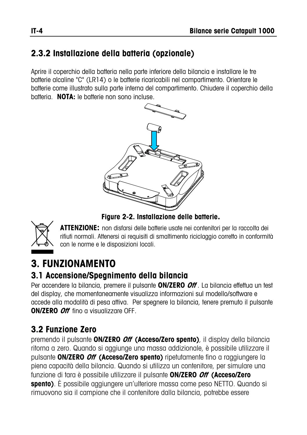#### **2.3.2 Installazione della batteria (opzionale)**

Aprire il coperchio della batteria nella parte inferiore della bilancia e installare le tre batterie alcaline "C" (LR14) o le batterie ricaricabili nel compartimento. Orientare le batterie come illustrato sulla parte interna del compartimento. Chiudere il coperchio della batteria. **NOTA:** le batterie non sono incluse.



**Figure 2-2. Installazione delle batterie.** 



**ATTENZIONE:** non disfarsi delle batterie usate nei contenitori per la raccolta dei rifiuti normali. Attenersi ai requisiti di smaltimento riciclaggio corretto in conformità con le norme e le disposizioni locali.

# **3. FUNZIONAMENTO**

#### **3.1 Accensione/Spegnimento della bilancia**

Per accendere la bilancia, premere il pulsante **ON/ZERO Off** . La bilancia effettua un test del display, che momentaneamente visualizza informazioni sul modello/software e accede alla modalità di pesa attiva. Per spegnere la bilancia, tenere premuto il pulsante **ON/ZERO Off** fino a visualizzare OFF.

### **3.2 Funzione Zero**

premendo il pulsante **ON/ZERO Off (Acceso/Zero spento)**, il display della bilancia ritorna a zero. Quando si aggiunge una massa addizionale, è possibile utilizzare il pulsante **ON/ZERO Off (Acceso/Zero spento)** ripetutamente fino a raggiungere la piena capacità della bilancia. Quando si utilizza un contenitore, per simulare una funzione di tara è possibile utilizzare il pulsante **ON/ZERO Off (Acceso/Zero spento)**. È possibile aggiungere un'ulteriore massa come peso NETTO. Quando si rimuovono sia il campione che il contenitore dalla bilancia, potrebbe essere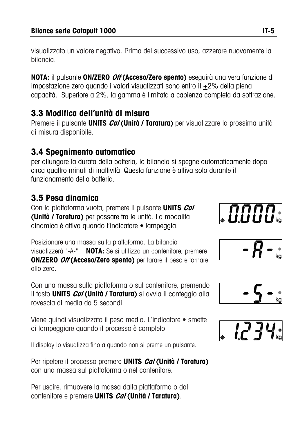visualizzato un valore negativo. Prima del successivo uso, azzerare nuovamente la bilancia.

**NOTA:** il pulsante **ON/ZERO Off (Acceso/Zero spento)** eseguirà una vera funzione di impostazione zero quando i valori visualizzati sono entro il +2% della piena capacità. Superiore a 2%, la gamma è limitata a capienza completa da sottrazione.

### **3.3 Modifica dell'unità di misura**

Premere il pulsante **UNITS Cal (Unità / Taratura)** per visualizzare la prossima unità di misura disponibile.

#### **3.4 Spegnimento automatico**

per allungare la durata della batteria, la bilancia si spegne automaticamente dopo circa quattro minuti di inattività. Questa funzione è attiva solo durante il funzionamento della batteria.

#### **3.5 Pesa dinamica**

Con la piattaforma vuota, premere il pulsante **UNITS Cal (Unità / Taratura)** per passare tra le unità. La modalità dinamica è attiva quando l'indicatore • lampeggia.

Posizionare una massa sulla piattaforma. La bilancia visualizzerà "-A-". **NOTA:** Se si utilizza un contenitore, premere **ON/ZERO Off (Acceso/Zero spento)** per tarare il peso e tornare allo zero.

Con una massa sulla piattaforma o sul contenitore, premendo il tasto **UNITS Cal (Unità / Taratura)** si avvia il conteggio alla rovescia di media da 5 secondi.

Viene quindi visualizzato il peso medio. L'indicatore • smette di lampeggiare quando il processo è completo.

Il display lo visualizza fino a quando non si preme un pulsante.

Per ripetere il processo premere **UNITS Cal (Unità / Taratura)** con una massa sul piattaforma o nel contenitore.

Per uscire, rimuovere la massa dalla piattaforma o dal contenitore e premere **UNITS Cal (Unità / Taratura)**.







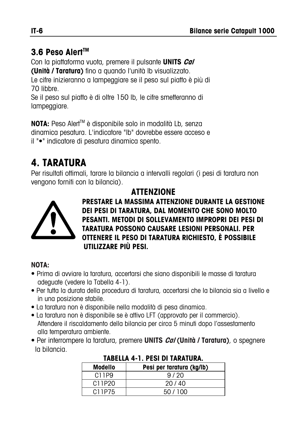### **3.6 Peso AlertTM**

Con la piattaforma vuota, premere il pulsante **UNITS Cal**

**(Unità / Taratura)** fino a quando l'unità lb visualizzato.

Le cifre inizieranno a lampeggiare se il peso sul piatto è più di 70 libbre.

Se il peso sul piatto è di oltre 150 lb, le cifre smetteranno di lampeggiare.

**NOTA:** Peso Aler<sup>™</sup> è disponibile solo in modalità Lb, senza dinamica pesatura. L'indicatore "lb" dovrebbe essere acceso e il "•" indicatore di pesatura dinamica spento.

# **4. TARATURA**

Per risultati ottimali, tarare la bilancia a intervalli regolari (i pesi di taratura non vengono forniti con la bilancia).

### **ATTENZIONE**



**PRESTARE LA MASSIMA ATTENZIONE DURANTE LA GESTIONE DEI PESI DI TARATURA, DAL MOMENTO CHE SONO MOLTO PESANTI. METODI DI SOLLEVAMENTO IMPROPRI DEI PESI DI TARATURA POSSONO CAUSARE LESIONI PERSONALI. PER OTTENERE IL PESO DI TARATURA RICHIESTO, È POSSIBILE UTILIZZARE PIÙ PESI.** 

#### **NOTA:**

- Prima di avviare la taratura, accertarsi che siano disponibili le masse di taratura adeguate (vedere la Tabella 4-1).
- Per tutta la durata della procedura di taratura, accertarsi che la bilancia sia a livello e in una posizione stabile.
- La taratura non è disponibile nella modalità di pesa dinamica.
- La taratura non è disponibile se è attivo LFT (approvato per il commercio). Attendere il riscaldamento della bilancia per circa 5 minuti dopo l'assestamento alla temperatura ambiente.
- Per interrompere la taratura, premere **UNITS Cal (Unità / Taratura)**, o spegnere la bilancia.

| <b>Modello</b> | Pesi per taratura (kg/lb) |  |
|----------------|---------------------------|--|
| C11P9          | 9/20                      |  |
| C11P20         | 20/40                     |  |
| C11P75         | 50/100                    |  |

#### **TABELLA 4-1. PESI DI TARATURA.**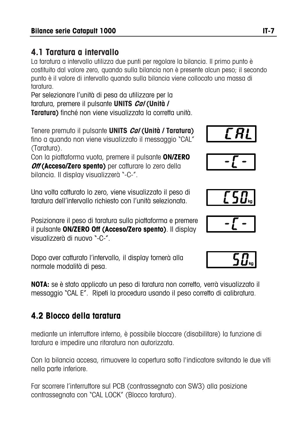#### **4.1 Taratura a intervallo**

La taratura a intervallo utilizza due punti per regolare la bilancia. Il primo punto è costituito dal valore zero, quando sulla bilancia non è presente alcun peso; il secondo punto è il valore di intervallo quando sulla bilancia viene collocato una massa di taratura.

Per selezionare l'unità di pesa da utilizzare per la taratura, premere il pulsante **UNITS Cal (Unità / Taratura)** finché non viene visualizzata la corretta unità.



Con la piattaforma vuota, premere il pulsante **ON/ZERO**  *Off* **(Acceso/Zero spento)** per catturare lo zero della bilancia. Il display visualizzerà "-C-".

Una volta catturato lo zero, viene visualizzato il peso di taratura dell'intervallo richiesto con l'unità selezionata.

Posizionare il peso di taratura sulla piattaforma e premere il pulsante **ON/ZERO Off (Acceso/Zero spento)**. Il display visualizzerà di nuovo "-C-".

Dopo aver catturato l'intervallo, il display tornerà alla normale modalità di pesa.

**NOTA:** se è stato applicato un peso di taratura non corretto, verrà visualizzato il messaggio "CAL E". Ripeti la procedura usando il peso corretto di calibratura.

## **4.2 Blocco della taratura**

mediante un interruttore interno, è possibile bloccare (disabilitare) la funzione di taratura e impedire una ritaratura non autorizzata.

Con la bilancia accesa, rimuovere la copertura sotto l'indicatore svitando le due viti nella parte inferiore.

Far scorrere l'interruttore sul PCB (contrassegnato con SW3) alla posizione contrassegnata con "CAL LOCK" (Blocco taratura).







$$
-50kg
$$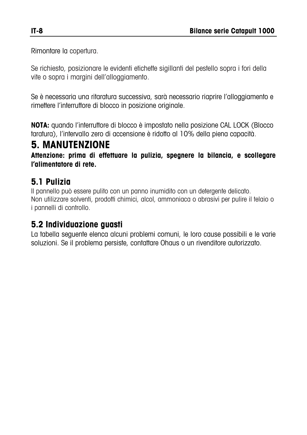Rimontare la copertura.

Se richiesto, posizionare le evidenti etichette sigillanti del pestello sopra i fori della vite o sopra i margini dell'alloggiamento.

Se è necessaria una ritaratura successiva, sarà necessario riaprire l'alloggiamento e rimettere l'interruttore di blocco in posizione originale.

**NOTA:** quando l'interruttore di blocco è impostato nella posizione CAL LOCK (Blocco taratura), l'intervallo zero di accensione è ridotto al 10% della piena capacità.

## **5. MANUTENZIONE**

**Attenzione: prima di effettuare la pulizia, spegnere la bilancia, e scollegare l'alimentatore di rete.** 

### **5.1 Pulizia**

Il pannello può essere pulito con un panno inumidito con un detergente delicato. Non utilizzare solventi, prodotti chimici, alcol, ammoniaca o abrasivi per pulire il telaio o i pannelli di controllo.

#### **5.2 Individuazione guasti**

La tabella seguente elenca alcuni problemi comuni, le loro cause possibili e le varie soluzioni. Se il problema persiste, contattare Ohaus o un rivenditore autorizzato.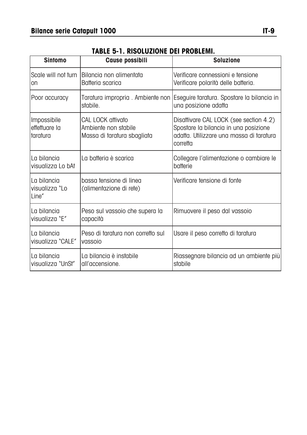| <b>Sintomo</b>                           | <b>Cause possibili</b>                                                   | <b>Soluzione</b>                                                                                                                        |
|------------------------------------------|--------------------------------------------------------------------------|-----------------------------------------------------------------------------------------------------------------------------------------|
| Scale will not turn<br>on                | Bilancia non alimentata<br>Batteria scarica                              | Verificare connessioni e tensione<br>Verificare polarità delle batteria.                                                                |
| Poor accuracy                            | Taratura impropria. Ambiente non<br>stabile.                             | Eseguire taratura. Spostare la bilancia in<br>una posizione adatta                                                                      |
| Impossibile<br>effettuare la<br>taratura | CAL LOCK attivato<br>Ambiente non stabile<br>Massa di taratura sbagliata | Disattivare CAL LOCK (see section 4.2)<br>Spostare la bilancia in una posizione<br>adatta. Utilizzare una massa di taratura<br>corretta |
| La bilancia<br>visualizza Lo bAt         | La batteria è scarica                                                    | Collegare l'alimentazione o cambiare le<br>batterie                                                                                     |
| La bilancia<br>visualizza "Lo<br>Line"   | bassa tensione di linea<br>(alimentazione di rete)                       | Verificare tensione di fonte                                                                                                            |
| La bilancia<br>visualizza "E"            | Peso sul vassoio che supera la<br>capacità                               | Rimuovere il peso dal vassoio                                                                                                           |
| La bilancia<br>visualizza "CALE"         | Peso di taratura non corretto sul<br>vassoio                             | Usare il peso corretto di taratura                                                                                                      |
| La bilancia<br>visualizza "UnSt"         | La bilancia è instabile<br>all'accensione.                               | Riassegnare bilancia ad un ambiente più<br>stabile                                                                                      |

#### **TABLE 5-1. RISOLUZIONE DEI PROBLEMI.**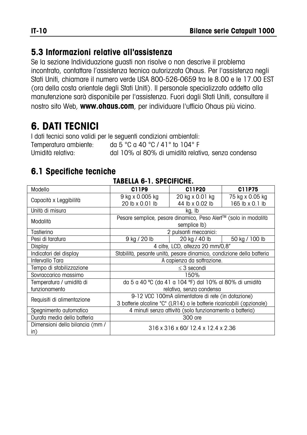#### **5.3 Informazioni relative all'assistenza**

Se la sezione Individuazione guasti non risolve o non descrive il problema incontrato, contattare l'assistenza tecnica autorizzata Ohaus. Per l'assistenza negli Stati Uniti, chiamare il numero verde USA 800-526-0659 tra le 8.00 e le 17.00 EST (ora della costa orientale degli Stati Uniti). Il personale specializzato addetto alla manutenzione sarà disponibile per l'assistenza. Fuori dagli Stati Uniti, consultare il nostro sito Web, **www.ohaus.com**, per individuare l'ufficio Ohaus più vicino.

# **6. DATI TECNICI**

I dati tecnici sono validi per le seguenti condizioni ambientali: Temperatura ambiente: da 5 °C a 40 °C / 41° to 104° F Umidità relativa: dal 10% al 80% di umidità relativa, senza condensa

#### **6.1 Specifiche tecniche**

| IADLLLA V= I. VI LVII IVIIL.    |                                                                       |                 |                 |  |
|---------------------------------|-----------------------------------------------------------------------|-----------------|-----------------|--|
| Modello                         | C11P9                                                                 | C11P20          | C11P75          |  |
| Capacità x Leggibilità          | 9 kg x 0.005 kg                                                       | 20 kg x 0.01 kg | 75 kg x 0.05 kg |  |
|                                 | 20 lb x 0.01 lb                                                       | 44 lb x 0.02 lb | 165 lb x 0.1 lb |  |
| Unità di misura                 | kg, Ib                                                                |                 |                 |  |
| Modalità                        | Pesare semplice, pesare dinamico, Peso Alert™ (solo in modalità       |                 |                 |  |
|                                 | semplice lb)                                                          |                 |                 |  |
| Tastierino                      | 2 pulsanti meccanici:                                                 |                 |                 |  |
| Pesi di taratura                | 9 kg / 20 lb                                                          | 20 kg / 40 lb   | 50 kg / 100 lb  |  |
| Display                         | 4 cifre, LCD, altezza 20 mm/0,8"                                      |                 |                 |  |
| Indicatori del display          | Stabilità, pesante unità, pesare dinamico, condizione della batteria  |                 |                 |  |
| Intervallo Tara                 | A capienza da sottrazione.                                            |                 |                 |  |
| Tempo di stabilizzazione        | $\leq$ 3 secondi                                                      |                 |                 |  |
| Sovraccarico massimo            | 150%                                                                  |                 |                 |  |
| Temperatura / umidità di        | da 5 a 40 °C (da 41 a 104 °F) dal 10% al 80% di umidità               |                 |                 |  |
| funzionamento                   | relativa, senza condensa                                              |                 |                 |  |
| Requisiti di alimentazione      | 9-12 VCC 100mA alimentatore di rete (in dotazione)                    |                 |                 |  |
|                                 | 3 batterie alcaline "C" (LR14) o le batterie ricaricabili (opzionale) |                 |                 |  |
| Spegnimento automatico          | 4 minuti senza attività (solo funzionamento a batteria)               |                 |                 |  |
| Durata media della batteria     | 300 ore                                                               |                 |                 |  |
| Dimensioni della bilancia (mm / | 316 x 316 x 60/12.4 x 12.4 x 2.36                                     |                 |                 |  |
| in)                             |                                                                       |                 |                 |  |

#### **TABELLA 6-1. SPECIFICHE.**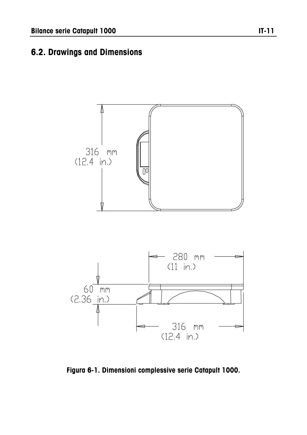#### **6.2. Drawings and Dimensions**



**Figura 6-1. Dimensioni complessive serie Catapult 1000.**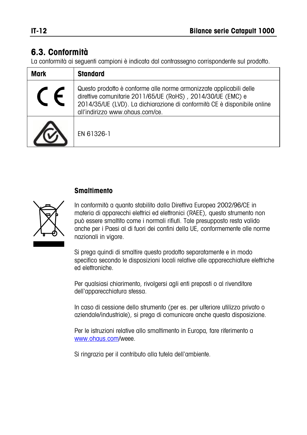#### **6.3. Conformità**

La conformità ai seguenti campioni è indicata dal contrassegno corrispondente sul prodotto.

| <b>Mark</b> | <b>Standard</b>                                                                                                                                                                                                                                   |
|-------------|---------------------------------------------------------------------------------------------------------------------------------------------------------------------------------------------------------------------------------------------------|
|             | Questo prodotto è conforme alle norme armonizzate applicabili delle<br>direttive comunitarie 2011/65/UE (RoHS), 2014/30/UE (EMC) e<br>2014/35/UE (LVD). La dichiarazione di conformità CE è disponibile online<br>all'indirizzo www.ohaus.com/ce. |
|             | EN 61326-1                                                                                                                                                                                                                                        |

#### **Smaltimento**



In conformità a quanto stabilito dalla Direttiva Europea 2002/96/CE in materia di apparecchi elettrici ed elettronici (RAEE), questo strumento non può essere smaltito come i normali rifiuti. Tale presupposto resta valido anche per i Paesi al di fuori dei confini della UE, conformemente alle norme nazionali in vigore.

Si prega quindi di smaltire questo prodotto separatamente e in modo specifico secondo le disposizioni locali relative alle apparecchiature elettriche ed elettroniche.

Per qualsiasi chiarimento, rivolgersi agli enti preposti o al rivenditore dell'apparecchiatura stessa.

In caso di cessione dello strumento (per es. per ulteriore utilizzo privato o aziendale/industriale), si prega di comunicare anche questa disposizione.

Per le istruzioni relative allo smaltimento in Europa, fare riferimento a [www.ohaus.com/w](http://www.ohaus.com/)eee.

Si ringrazia per il contributo alla tutela dell'ambiente.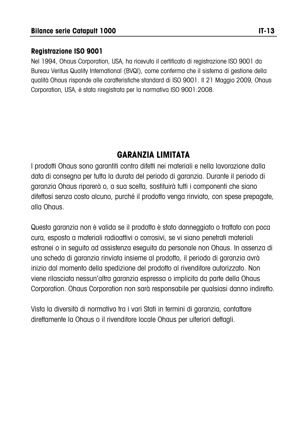#### **Registrazione ISO 9001**

Nel 1994, Ohaus Corporation, USA, ha ricevuto il certificato di registrazione ISO 9001 da Bureau Veritus Quality International (BVQI), come conferma che il sistema di gestione della qualità Ohaus risponde alle caratteristiche standard di ISO 9001. Il 21 Maggio 2009, Ohaus Corporation, USA, è stata riregistrata per la normativa ISO 9001:2008.

#### **GARANZIA LIMITATA**

I prodotti Ohaus sono garantiti contro difetti nei materiali e nella lavorazione dalla data di consegna per tutta la durata del periodo di garanzia. Durante il periodo di garanzia Ohaus riparerà o, a sua scelta, sostituirà tutti i componenti che siano difettosi senza costo alcuno, purché il prodotto venga rinviato, con spese prepagate, alla Ohaus.

Questa garanzia non è valida se il prodotto è stato danneggiato o trattato con poca cura, esposto a materiali radioattivi o corrosivi, se vi siano penetrati materiali estranei o in seguito ad assistenza eseguita da personale non Ohaus. In assenza di una scheda di garanzia rinviata insieme al prodotto, il periodo di garanzia avrà inizio dal momento della spedizione del prodotto al rivenditore autorizzato. Non viene rilasciata nessun'altra garanzia espressa o implicita da parte della Ohaus Corporation. Ohaus Corporation non sarà responsabile per qualsiasi danno indiretto.

Vista la diversità di normativa tra i vari Stati in termini di garanzia, contattare direttamente la Ohaus o il rivenditore locale Ohaus per ulteriori dettagli.